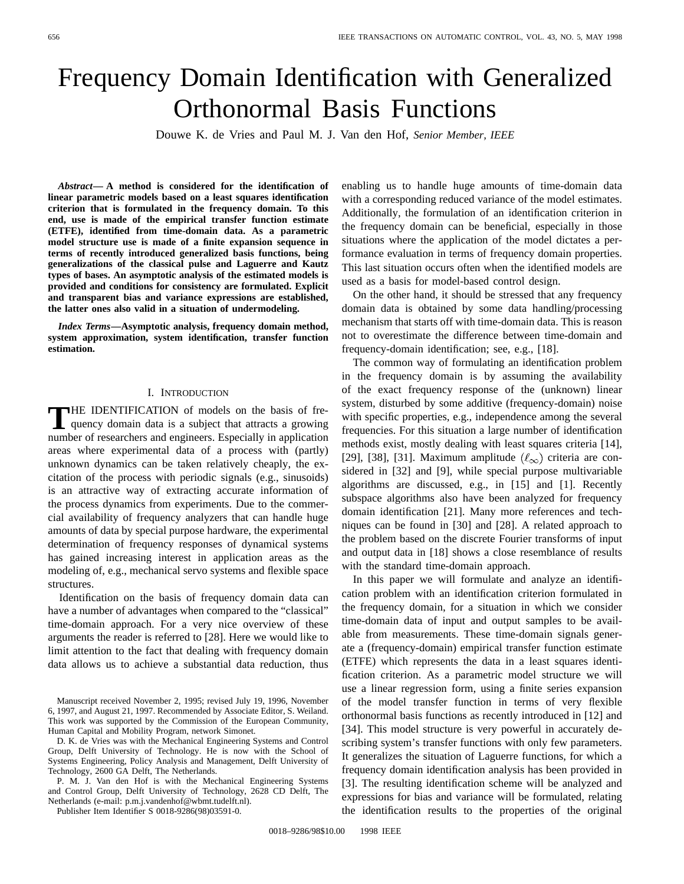# Frequency Domain Identification with Generalized Orthonormal Basis Functions

Douwe K. de Vries and Paul M. J. Van den Hof, *Senior Member, IEEE*

*Abstract—* **A method is considered for the identification of linear parametric models based on a least squares identification criterion that is formulated in the frequency domain. To this end, use is made of the empirical transfer function estimate (ETFE), identified from time-domain data. As a parametric model structure use is made of a finite expansion sequence in terms of recently introduced generalized basis functions, being generalizations of the classical pulse and Laguerre and Kautz types of bases. An asymptotic analysis of the estimated models is provided and conditions for consistency are formulated. Explicit and transparent bias and variance expressions are established, the latter ones also valid in a situation of undermodeling.**

*Index Terms—***Asymptotic analysis, frequency domain method, system approximation, system identification, transfer function estimation.**

# I. INTRODUCTION

**T**HE IDENTIFICATION of models on the basis of frequency domain data is a subject that attracts a growing number of researchers and engineers. Especially in application areas where experimental data of a process with (partly) unknown dynamics can be taken relatively cheaply, the excitation of the process with periodic signals (e.g., sinusoids) is an attractive way of extracting accurate information of the process dynamics from experiments. Due to the commercial availability of frequency analyzers that can handle huge amounts of data by special purpose hardware, the experimental determination of frequency responses of dynamical systems has gained increasing interest in application areas as the modeling of, e.g., mechanical servo systems and flexible space structures.

Identification on the basis of frequency domain data can have a number of advantages when compared to the "classical" time-domain approach. For a very nice overview of these arguments the reader is referred to [28]. Here we would like to limit attention to the fact that dealing with frequency domain data allows us to achieve a substantial data reduction, thus

Manuscript received November 2, 1995; revised July 19, 1996, November 6, 1997, and August 21, 1997. Recommended by Associate Editor, S. Weiland. This work was supported by the Commission of the European Community, Human Capital and Mobility Program, network Simonet.

D. K. de Vries was with the Mechanical Engineering Systems and Control Group, Delft University of Technology. He is now with the School of Systems Engineering, Policy Analysis and Management, Delft University of Technology, 2600 GA Delft, The Netherlands.

P. M. J. Van den Hof is with the Mechanical Engineering Systems and Control Group, Delft University of Technology, 2628 CD Delft, The Netherlands (e-mail: p.m.j.vandenhof@wbmt.tudelft.nl).

Publisher Item Identifier S 0018-9286(98)03591-0.

enabling us to handle huge amounts of time-domain data with a corresponding reduced variance of the model estimates. Additionally, the formulation of an identification criterion in the frequency domain can be beneficial, especially in those situations where the application of the model dictates a performance evaluation in terms of frequency domain properties. This last situation occurs often when the identified models are used as a basis for model-based control design.

On the other hand, it should be stressed that any frequency domain data is obtained by some data handling/processing mechanism that starts off with time-domain data. This is reason not to overestimate the difference between time-domain and frequency-domain identification; see, e.g., [18].

The common way of formulating an identification problem in the frequency domain is by assuming the availability of the exact frequency response of the (unknown) linear system, disturbed by some additive (frequency-domain) noise with specific properties, e.g., independence among the several frequencies. For this situation a large number of identification methods exist, mostly dealing with least squares criteria [14], [29], [38], [31]. Maximum amplitude  $(\ell_{\infty})$  criteria are considered in [32] and [9], while special purpose multivariable algorithms are discussed, e.g., in [15] and [1]. Recently subspace algorithms also have been analyzed for frequency domain identification [21]. Many more references and techniques can be found in [30] and [28]. A related approach to the problem based on the discrete Fourier transforms of input and output data in [18] shows a close resemblance of results with the standard time-domain approach.

In this paper we will formulate and analyze an identification problem with an identification criterion formulated in the frequency domain, for a situation in which we consider time-domain data of input and output samples to be available from measurements. These time-domain signals generate a (frequency-domain) empirical transfer function estimate (ETFE) which represents the data in a least squares identification criterion. As a parametric model structure we will use a linear regression form, using a finite series expansion of the model transfer function in terms of very flexible orthonormal basis functions as recently introduced in [12] and [34]. This model structure is very powerful in accurately describing system's transfer functions with only few parameters. It generalizes the situation of Laguerre functions, for which a frequency domain identification analysis has been provided in [3]. The resulting identification scheme will be analyzed and expressions for bias and variance will be formulated, relating the identification results to the properties of the original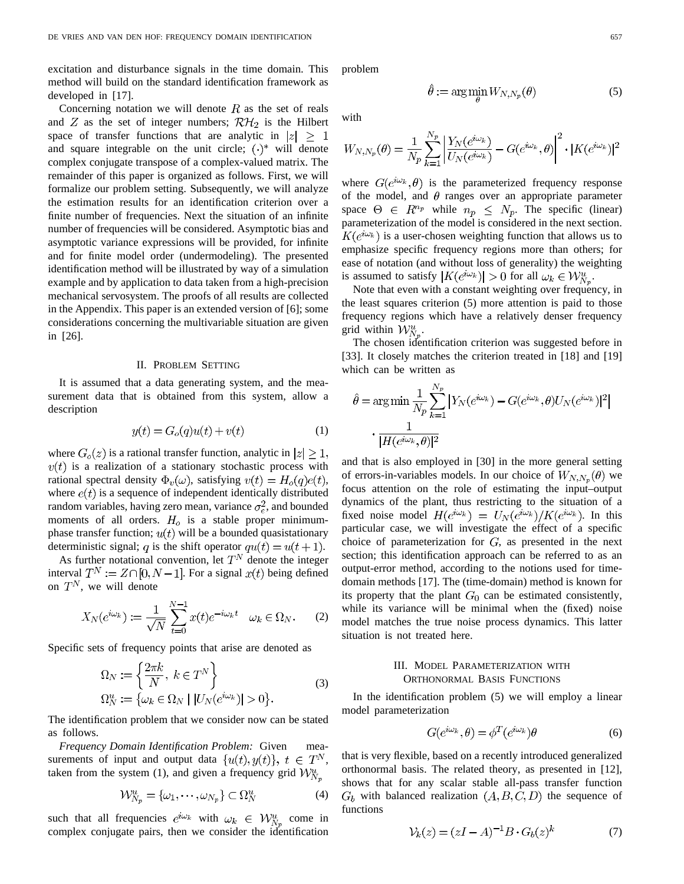excitation and disturbance signals in the time domain. This method will build on the standard identification framework as developed in [17].

Concerning notation we will denote  $R$  as the set of reals and Z as the set of integer numbers;  $\mathcal{RH}_2$  is the Hilbert space of transfer functions that are analytic in  $|z| \ge 1$ and square integrable on the unit circle;  $(\cdot)^*$  will denote complex conjugate transpose of a complex-valued matrix. The remainder of this paper is organized as follows. First, we will formalize our problem setting. Subsequently, we will analyze the estimation results for an identification criterion over a finite number of frequencies. Next the situation of an infinite number of frequencies will be considered. Asymptotic bias and asymptotic variance expressions will be provided, for infinite and for finite model order (undermodeling). The presented identification method will be illustrated by way of a simulation example and by application to data taken from a high-precision mechanical servosystem. The proofs of all results are collected in the Appendix. This paper is an extended version of [6]; some considerations concerning the multivariable situation are given in [26].

#### II. PROBLEM SETTING

It is assumed that a data generating system, and the measurement data that is obtained from this system, allow a description

$$
y(t) = G_o(q)u(t) + v(t)
$$
\n(1)

where  $G<sub>o</sub>(z)$  is a rational transfer function, analytic in  $|z| \geq 1$ ,  $v(t)$  is a realization of a stationary stochastic process with rational spectral density  $\Phi_v(\omega)$ , satisfying  $v(t) = H_o(q)e(t)$ , where  $e(t)$  is a sequence of independent identically distributed random variables, having zero mean, variance  $\sigma_e^2$ , and bounded moments of all orders.  $H<sub>o</sub>$  is a stable proper minimumphase transfer function;  $u(t)$  will be a bounded quasistationary deterministic signal; q is the shift operator  $qu(t) = u(t+1)$ .

As further notational convention, let  $T<sup>N</sup>$  denote the integer interval  $T^N := Z \cap [0, N-1]$ . For a signal  $x(t)$  being defined on  $T^N$ , we will denote

$$
X_N(e^{i\omega_k}) := \frac{1}{\sqrt{N}} \sum_{t=0}^{N-1} x(t) e^{-i\omega_k t} \quad \omega_k \in \Omega_N.
$$
 (2)

Specific sets of frequency points that arise are denoted as

$$
\Omega_N := \left\{ \frac{2\pi k}{N}, \ k \in T^N \right\}
$$
\n
$$
\Omega_N^u := \left\{ \omega_k \in \Omega_N \mid |U_N(e^{i\omega_k})| > 0 \right\}.
$$
\n(3)

The identification problem that we consider now can be stated as follows.

*Frequency Domain Identification Problem:* Given measurements of input and output data  $\{u(t), y(t)\}, t \in T^N$ , taken from the system (1), and given a frequency grid  $\mathcal{W}_{N_n}^u$ 

$$
\mathcal{W}_{N_p}^u = \{\omega_1, \cdots, \omega_{N_p}\} \subset \Omega_N^u \tag{4}
$$

such that all frequencies  $e^{i\omega_k}$  with  $\omega_k \in \mathcal{W}_{N}^u$  come in complex conjugate pairs, then we consider the identification problem

$$
\hat{\theta} := \arg\min_{\theta} W_{N, N_p}(\theta) \tag{5}
$$

with

$$
W_{N,N_p}(\theta) = \frac{1}{N_p} \sum_{k=1}^{N_p} \left| \frac{Y_N(e^{i\omega_k})}{U_N(e^{i\omega_k})} - G(e^{i\omega_k}, \theta) \right|^2 \cdot |K(e^{i\omega_k})|^2
$$

where  $G(e^{i\omega_k}, \theta)$  is the parameterized frequency response of the model, and  $\theta$  ranges over an appropriate parameter space  $\Theta \in R^{n_p}$  while  $n_p \leq N_p$ . The specific (linear) parameterization of the model is considered in the next section.  $K(e^{i\omega_k})$  is a user-chosen weighting function that allows us to emphasize specific frequency regions more than others; for ease of notation (and without loss of generality) the weighting is assumed to satisfy  $|K(e^{i\omega_k})| > 0$  for all  $\omega_k \in \mathcal{W}_{N}^u$ .

Note that even with a constant weighting over frequency, in the least squares criterion (5) more attention is paid to those frequency regions which have a relatively denser frequency grid within  $\mathcal{W}_{N}^{u}$ 

The chosen identification criterion was suggested before in [33]. It closely matches the criterion treated in [18] and [19] which can be written as

$$
\hat{\theta} = \arg \min \frac{1}{N_p} \sum_{k=1}^{N_p} \left| Y_N(e^{i\omega_k}) - G(e^{i\omega_k}, \theta) U_N(e^{i\omega_k}) \right|^2 \right|
$$

$$
\cdot \frac{1}{|H(e^{i\omega_k}, \theta)|^2}
$$

and that is also employed in [30] in the more general setting of errors-in-variables models. In our choice of  $W_{N,N_n}(\theta)$  we focus attention on the role of estimating the input–output dynamics of the plant, thus restricting to the situation of a fixed noise model  $H(e^{i\omega_k}) = U_N(e^{i\omega_k})/K(e^{i\omega_k})$ . In this particular case, we will investigate the effect of a specific choice of parameterization for  $G$ , as presented in the next section; this identification approach can be referred to as an output-error method, according to the notions used for timedomain methods [17]. The (time-domain) method is known for its property that the plant  $G_0$  can be estimated consistently, while its variance will be minimal when the (fixed) noise model matches the true noise process dynamics. This latter situation is not treated here.

## III. MODEL PARAMETERIZATION WITH ORTHONORMAL BASIS FUNCTIONS

In the identification problem (5) we will employ a linear model parameterization

$$
G(e^{i\omega_k}, \theta) = \phi^T(e^{i\omega_k})\theta \tag{6}
$$

that is very flexible, based on a recently introduced generalized orthonormal basis. The related theory, as presented in [12], shows that for any scalar stable all-pass transfer function  $G_b$  with balanced realization  $(A, B, C, D)$  the sequence of functions

$$
\mathcal{V}_k(z) = (zI - A)^{-1}B \cdot G_b(z)^k \tag{7}
$$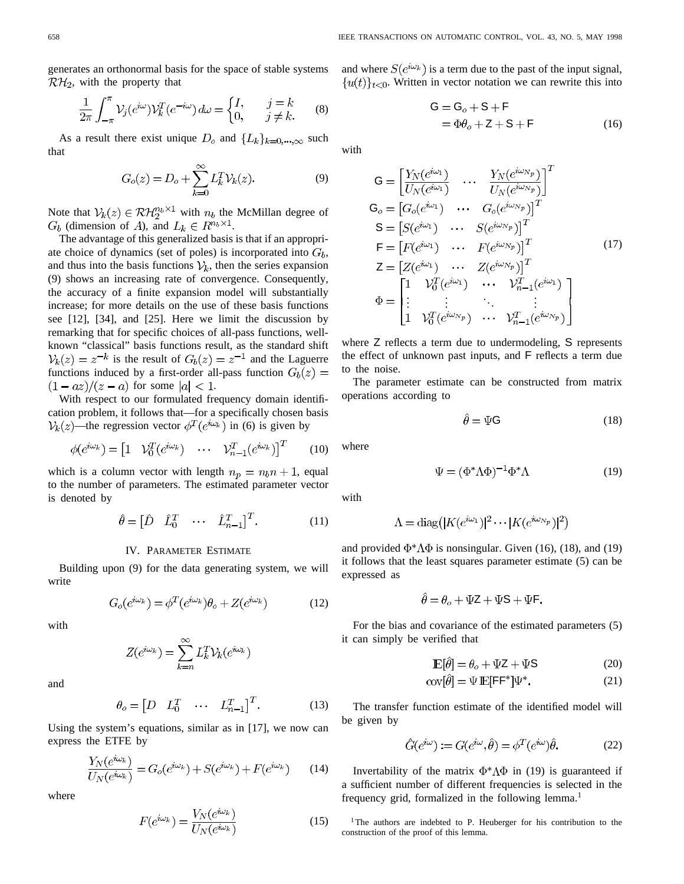generates an orthonormal basis for the space of stable systems  $\mathcal{RH}_2$ , with the property that

$$
\frac{1}{2\pi} \int_{-\pi}^{\pi} \mathcal{V}_j(e^{i\omega}) \mathcal{V}_k^T(e^{-i\omega}) d\omega = \begin{cases} I, & j = k \\ 0, & j \neq k. \end{cases}
$$
 (8)

As a result there exist unique  $D_o$  and  $\{L_k\}_{k=0,\dots,\infty}$  such that

$$
G_o(z) = D_o + \sum_{k=0}^{\infty} L_k^T \mathcal{V}_k(z).
$$
 (9)

Note that  $V_k(z) \in \mathcal{RH}_2^{n_b \times 1}$  with  $n_b$  the McMillan degree of  $G_b$  (dimension of A), and  $L_k \in R^{n_b \times 1}$ .

The advantage of this generalized basis is that if an appropriate choice of dynamics (set of poles) is incorporated into  $G_h$ , and thus into the basis functions  $V_k$ , then the series expansion (9) shows an increasing rate of convergence. Consequently, the accuracy of a finite expansion model will substantially increase; for more details on the use of these basis functions see [12], [34], and [25]. Here we limit the discussion by remarking that for specific choices of all-pass functions, wellknown "classical" basis functions result, as the standard shift  $V_k(z) = z^{-k}$  is the result of  $G_b(z) = z^{-1}$  and the Laguerre functions induced by a first-order all-pass function  $G_b(z)$  =  $(1-az)/(z-a)$  for some  $|a| < 1$ .

With respect to our formulated frequency domain identification problem, it follows that—for a specifically chosen basis  $V_k(z)$ —the regression vector  $\phi^T(e^{i\omega_k})$  in (6) is given by

$$
\phi(e^{i\omega_k}) = \begin{bmatrix} 1 & \mathcal{V}_0^T(e^{i\omega_k}) & \cdots & \mathcal{V}_{n-1}^T(e^{i\omega_k}) \end{bmatrix}^T \qquad (10)
$$

which is a column vector with length  $n_p = n_b n + 1$ , equal to the number of parameters. The estimated parameter vector is denoted by

$$
\hat{\theta} = \begin{bmatrix} \hat{D} & \hat{L}_0^T & \cdots & \hat{L}_{n-1}^T \end{bmatrix}^T.
$$
 (11)

# IV. PARAMETER ESTIMATE

Building upon (9) for the data generating system, we will write

$$
G_o(e^{i\omega_k}) = \phi^T(e^{i\omega_k})\theta_o + Z(e^{i\omega_k})
$$
 (12)

with

 $Z(e^{i\omega_k}) = \sum_{k=1}^{\infty} L_k^T \mathcal{V}_k(e^{i\omega_k})$ 

and

$$
\theta_o = \begin{bmatrix} D & L_0^T & \cdots & L_{n-1}^T \end{bmatrix}^T. \tag{13}
$$

Using the system's equations, similar as in [17], we now can express the ETFE by

$$
\frac{Y_N(e^{i\omega_k})}{U_N(e^{i\omega_k})} = G_o(e^{i\omega_k}) + S(e^{i\omega_k}) + F(e^{i\omega_k}) \tag{14}
$$

where

$$
F(e^{i\omega_k}) = \frac{V_N(e^{i\omega_k})}{U_N(e^{i\omega_k})}
$$
\n(15)

and where  $S(e^{i\omega_k})$  is a term due to the past of the input signal,  $\{u(t)\}_{t\leq0}$ . Written in vector notation we can rewrite this into

$$
G = Go + S + F
$$
  
=  $\Phi \thetao + Z + S + F$  (16)

with

$$
G = \begin{bmatrix} Y_N(e^{i\omega_1}) & \cdots & Y_N(e^{i\omega_{N_p}}) \\ \overline{U_N(e^{i\omega_1})} & \cdots & \overline{U_N(e^{i\omega_{N_p}})} \end{bmatrix}^T
$$
  
\n
$$
G_o = \begin{bmatrix} G_o(e^{i\omega_1}) & \cdots & G_o(e^{i\omega_{N_p}}) \end{bmatrix}^T
$$
  
\n
$$
S = \begin{bmatrix} S(e^{i\omega_1}) & \cdots & S(e^{i\omega_{N_p}}) \end{bmatrix}^T
$$
  
\n
$$
F = \begin{bmatrix} F(e^{i\omega_1}) & \cdots & F(e^{i\omega_{N_p}}) \end{bmatrix}^T
$$
  
\n
$$
Z = \begin{bmatrix} Z(e^{i\omega_1}) & \cdots & Z(e^{i\omega_{N_p}}) \end{bmatrix}^T
$$
  
\n
$$
\Phi = \begin{bmatrix} 1 & \mathcal{V}_0^T(e^{i\omega_1}) & \cdots & \mathcal{V}_{n-1}^T(e^{i\omega_1}) \\ \vdots & \vdots & \ddots & \vdots \\ 1 & \mathcal{V}_0^T(e^{i\omega_{N_p}}) & \cdots & \mathcal{V}_{n-1}^T(e^{i\omega_{N_p}}) \end{bmatrix}
$$
  
\n(17)

where  $Z$  reflects a term due to undermodeling,  $S$  represents the effect of unknown past inputs, and F reflects a term due to the noise.

The parameter estimate can be constructed from matrix operations according to

$$
\hat{\theta} = \Psi \mathsf{G} \tag{18}
$$

where

$$
\Psi = (\Phi^* \Lambda \Phi)^{-1} \Phi^* \Lambda \tag{19}
$$

with

$$
\Lambda = \text{diag}\big(|K(e^{i\omega_1})|^2 \cdots |K(e^{i\omega_{N_p}})|^2\big)
$$

and provided  $\Phi^* \Lambda \Phi$  is nonsingular. Given (16), (18), and (19) it follows that the least squares parameter estimate (5) can be expressed as

$$
\hat{\theta} = \theta_o + \Psi Z + \Psi S + \Psi F.
$$

For the bias and covariance of the estimated parameters (5) it can simply be verified that

$$
\mathbb{E}[\hat{\theta}] = \theta_o + \Psi Z + \Psi S \tag{20}
$$

$$
cov[\theta] = \Psi \mathbb{E}[\mathsf{FF}^*]\Psi^*.
$$
 (21)

The transfer function estimate of the identified model will be given by

$$
\hat{G}(e^{i\omega}) := G(e^{i\omega}, \hat{\theta}) = \phi^T(e^{i\omega})\hat{\theta}.
$$
 (22)

Invertability of the matrix  $\Phi^* \Lambda \Phi$  in (19) is guaranteed if a sufficient number of different frequencies is selected in the frequency grid, formalized in the following lemma.<sup>1</sup>

<sup>1</sup>The authors are indebted to P. Heuberger for his contribution to the construction of the proof of this lemma.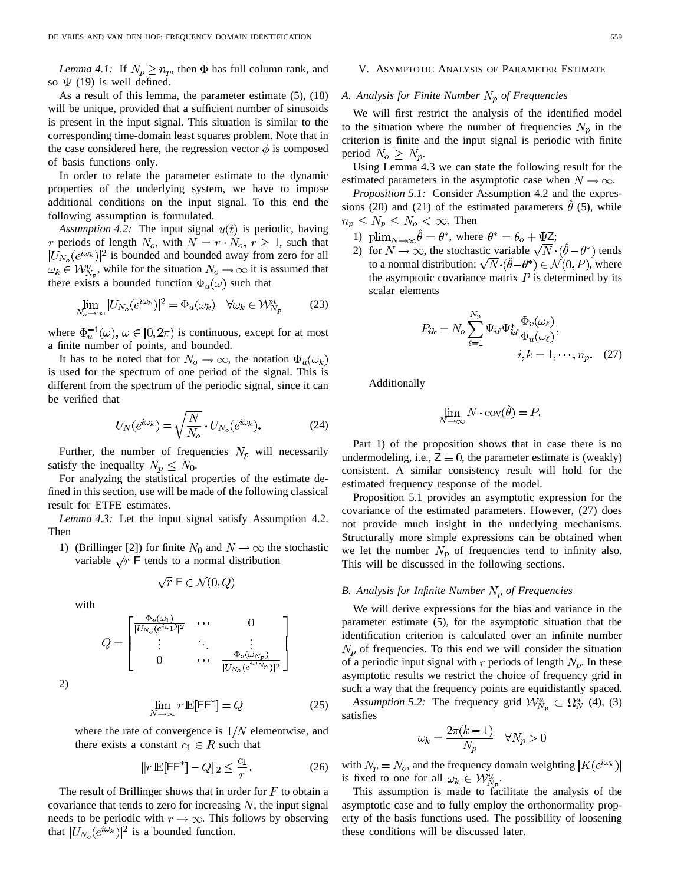*Lemma 4.1:* If  $N_p \geq n_p$ , then  $\Phi$  has full column rank, and so  $\Psi$  (19) is well defined.

As a result of this lemma, the parameter estimate (5), (18) will be unique, provided that a sufficient number of sinusoids is present in the input signal. This situation is similar to the corresponding time-domain least squares problem. Note that in the case considered here, the regression vector  $\phi$  is composed of basis functions only.

In order to relate the parameter estimate to the dynamic properties of the underlying system, we have to impose additional conditions on the input signal. To this end the following assumption is formulated.

*Assumption 4.2:* The input signal  $u(t)$  is periodic, having r periods of length  $N_o$ , with  $N = r \cdot N_o$ ,  $r \ge 1$ , such that  $|U_{N_o}(e^{i\omega_k})|^2$  is bounded and bounded away from zero for all  $\omega_k \in \mathcal{W}_{N_n}^u$ , while for the situation  $N_o \to \infty$  it is assumed that there exists a bounded function  $\Phi_u(\omega)$  such that

$$
\lim_{N_o \to \infty} |U_{N_o}(e^{i\omega_k})|^2 = \Phi_u(\omega_k) \quad \forall \omega_k \in \mathcal{W}_{N_p}^u \tag{23}
$$

where  $\Phi_u^{-1}(\omega)$ ,  $\omega \in [0, 2\pi)$  is continuous, except for at most a finite number of points, and bounded.

It has to be noted that for  $N_o \to \infty$ , the notation  $\Phi_u(\omega_k)$ is used for the spectrum of one period of the signal. This is different from the spectrum of the periodic signal, since it can be verified that

$$
U_N(e^{i\omega_k}) = \sqrt{\frac{N}{N_o}} \cdot U_{N_o}(e^{i\omega_k}).
$$
\n(24)

Further, the number of frequencies  $N_p$  will necessarily satisfy the inequality  $N_p \leq N_0$ .

For analyzing the statistical properties of the estimate defined in this section, use will be made of the following classical result for ETFE estimates.

*Lemma 4.3:* Let the input signal satisfy Assumption 4.2. Then

1) (Brillinger [2]) for finite  $N_0$  and  $N \to \infty$  the stochastic variable  $\sqrt{r}$  F tends to a normal distribution

$$
\sqrt{r} \ \mathsf{F} \in \mathcal{N}(0,Q)
$$

with

$$
Q = \begin{bmatrix} \frac{\Phi_v(\omega_1)}{|U_{N_o}(e^{i\omega_1})|^2} & \cdots & 0 \\ \vdots & \ddots & \vdots \\ 0 & \cdots & \frac{\Phi_v(\omega_{N_p})}{|U_{N_o}(e^{i\omega_{N_p}})|^2} \end{bmatrix}
$$

2)

$$
\lim_{N \to \infty} r \, \mathbb{E}[\mathsf{FF}^*] = Q \tag{25}
$$

where the rate of convergence is  $1/N$  elementwise, and there exists a constant  $c_1 \in R$  such that

$$
||r \mathbb{E}[\mathsf{FF}^*] - Q||_2 \le \frac{c_1}{r}.\tag{26}
$$

The result of Brillinger shows that in order for  $F$  to obtain a covariance that tends to zero for increasing  $N$ , the input signal needs to be periodic with  $r \to \infty$ . This follows by observing that  $|U_{N_o}(e^{i\omega_k})|^2$  is a bounded function.

#### V. ASYMPTOTIC ANALYSIS OF PARAMETER ESTIMATE

#### A. Analysis for Finite Number  $N_p$  of Frequencies

We will first restrict the analysis of the identified model to the situation where the number of frequencies  $N_p$  in the criterion is finite and the input signal is periodic with finite period  $N_o \ge N_p$ .

Using Lemma 4.3 we can state the following result for the estimated parameters in the asymptotic case when  $N \to \infty$ .

*Proposition 5.1:* Consider Assumption 4.2 and the expressions (20) and (21) of the estimated parameters  $\hat{\theta}$  (5), while  $n_p \leq N_p \leq N_o < \infty$ . Then

- 1)  $\lim_{N\to\infty}\hat{\theta}=\theta^*$ , where  $\theta^*=\theta_o+\Psi Z$ ;
- 2) for  $N \to \infty$ , the stochastic variable  $\sqrt{N} \cdot (\hat{\theta} \theta^*)$  tends to a normal distribution:  $\sqrt{N} \cdot (\hat{\theta} - \theta^*) \in \mathcal{N}(0, P)$ , where the asymptotic covariance matrix  $P$  is determined by its scalar elements

$$
P_{ik} = N_o \sum_{\ell=1}^{N_p} \Psi_{i\ell} \Psi_{k\ell}^* \frac{\Phi_v(\omega_\ell)}{\Phi_u(\omega_\ell)},
$$
  

$$
i, k = 1, \cdots, n_p. \quad (27)
$$

Additionally

$$
\lim_{N \to \infty} N \cdot \text{cov}(\hat{\theta}) = P.
$$

Part 1) of the proposition shows that in case there is no undermodeling, i.e.,  $Z \equiv 0$ , the parameter estimate is (weakly) consistent. A similar consistency result will hold for the estimated frequency response of the model.

Proposition 5.1 provides an asymptotic expression for the covariance of the estimated parameters. However, (27) does not provide much insight in the underlying mechanisms. Structurally more simple expressions can be obtained when we let the number  $N_p$  of frequencies tend to infinity also. This will be discussed in the following sections.

#### *B. Analysis for Infinite Number*  $N_p$  *of Frequencies*

We will derive expressions for the bias and variance in the parameter estimate (5), for the asymptotic situation that the identification criterion is calculated over an infinite number  $N_p$  of frequencies. To this end we will consider the situation of a periodic input signal with r periods of length  $N_p$ . In these asymptotic results we restrict the choice of frequency grid in such a way that the frequency points are equidistantly spaced.

*Assumption 5.2:* The frequency grid  $W_{N_p}^u \subset \Omega_N^u$  (4), (3) satisfies

$$
\omega_k = \frac{2\pi(k-1)}{N_p} \quad \forall N_p > 0
$$

with  $N_p = N_o$ , and the frequency domain weighting  $|K(e^{i\omega_k})|$ is fixed to one for all  $\omega_k \in \mathcal{W}_{N_n}^u$ .

This assumption is made to facilitate the analysis of the asymptotic case and to fully employ the orthonormality property of the basis functions used. The possibility of loosening these conditions will be discussed later.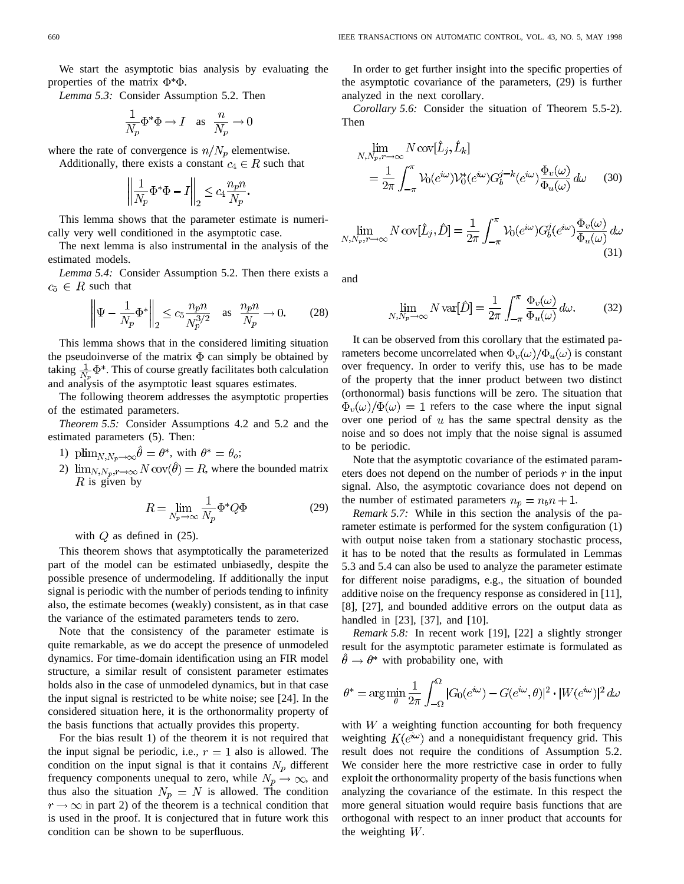We start the asymptotic bias analysis by evaluating the properties of the matrix  $\Phi^*\Phi$ .

*Lemma 5.3:* Consider Assumption 5.2. Then

$$
\frac{1}{N_p} \Phi^* \Phi \to I \quad \text{as} \quad \frac{n}{N_p} \to 0
$$

where the rate of convergence is  $n/N_p$  elementwise.

Additionally, there exists a constant  $c_4 \in R$  such that

$$
\left\| \frac{1}{N_p} \Phi^* \Phi - I \right\|_2 \le c_4 \frac{n_p n}{N_p}.
$$

This lemma shows that the parameter estimate is numerically very well conditioned in the asymptotic case.

The next lemma is also instrumental in the analysis of the estimated models.

*Lemma 5.4:* Consider Assumption 5.2. Then there exists a  $c_5 \in R$  such that

$$
\left\|\Psi - \frac{1}{N_p}\Phi^*\right\|_2 \le c_5 \frac{n_p n}{N_p^{3/2}} \quad \text{as} \quad \frac{n_p n}{N_p} \to 0. \tag{28}
$$

This lemma shows that in the considered limiting situation the pseudoinverse of the matrix  $\Phi$  can simply be obtained by taking  $\frac{1}{N_n} \Phi^*$ . This of course greatly facilitates both calculation and analysis of the asymptotic least squares estimates.

The following theorem addresses the asymptotic properties of the estimated parameters.

*Theorem 5.5:* Consider Assumptions 4.2 and 5.2 and the estimated parameters (5). Then:

1)  $\lim_{N,N_p\to\infty}\hat{\theta}=\theta^*$ , with  $\theta^*=\theta_o$ ;

 $\ddot{\phantom{a}}$ 

2)  $\lim_{N,N_p,r\to\infty} N \cos(\hat{\theta}) = R$ , where the bounded matrix  $R$  is given by

$$
R = \lim_{N_p \to \infty} \frac{1}{N_p} \Phi^* Q \Phi \tag{29}
$$

with  $Q$  as defined in  $(25)$ .

This theorem shows that asymptotically the parameterized part of the model can be estimated unbiasedly, despite the possible presence of undermodeling. If additionally the input signal is periodic with the number of periods tending to infinity also, the estimate becomes (weakly) consistent, as in that case the variance of the estimated parameters tends to zero.

Note that the consistency of the parameter estimate is quite remarkable, as we do accept the presence of unmodeled dynamics. For time-domain identification using an FIR model structure, a similar result of consistent parameter estimates holds also in the case of unmodeled dynamics, but in that case the input signal is restricted to be white noise; see [24]. In the considered situation here, it is the orthonormality property of the basis functions that actually provides this property.

For the bias result 1) of the theorem it is not required that the input signal be periodic, i.e.,  $r = 1$  also is allowed. The condition on the input signal is that it contains  $N_p$  different frequency components unequal to zero, while  $N_p \to \infty$ , and thus also the situation  $N_p = N$  is allowed. The condition  $r \rightarrow \infty$  in part 2) of the theorem is a technical condition that is used in the proof. It is conjectured that in future work this condition can be shown to be superfluous.

In order to get further insight into the specific properties of the asymptotic covariance of the parameters, (29) is further analyzed in the next corollary.

*Corollary 5.6:* Consider the situation of Theorem 5.5-2). Then

$$
\lim_{N,N_p,r \to \infty} N \operatorname{cov}[L_j, L_k]
$$
\n
$$
= \frac{1}{2\pi} \int_{-\pi}^{\pi} \mathcal{V}_0(e^{i\omega}) \mathcal{V}_0^*(e^{i\omega}) G_b^{j-k}(e^{i\omega}) \frac{\Phi_v(\omega)}{\Phi_u(\omega)} d\omega \qquad (30)
$$

$$
\lim_{\mathcal{N},N_p,r\to\infty} N \operatorname{cov}[\hat{L}_j,\hat{D}] = \frac{1}{2\pi} \int_{-\pi}^{\pi} \mathcal{V}_0(e^{i\omega}) G_b^j(e^{i\omega}) \frac{\Phi_v(\omega)}{\Phi_u(\omega)} d\omega
$$
\n(31)

and

$$
\lim_{N,N_p \to \infty} N \operatorname{var}[\hat{D}] = \frac{1}{2\pi} \int_{-\pi}^{\pi} \frac{\Phi_v(\omega)}{\Phi_u(\omega)} d\omega.
$$
 (32)

It can be observed from this corollary that the estimated parameters become uncorrelated when  $\Phi_{v}(\omega)/\Phi_{u}(\omega)$  is constant over frequency. In order to verify this, use has to be made of the property that the inner product between two distinct (orthonormal) basis functions will be zero. The situation that  $\Phi_v(\omega)/\Phi(\omega) = 1$  refers to the case where the input signal over one period of  $u$  has the same spectral density as the noise and so does not imply that the noise signal is assumed to be periodic.

Note that the asymptotic covariance of the estimated parameters does not depend on the number of periods  $r$  in the input signal. Also, the asymptotic covariance does not depend on the number of estimated parameters  $n_p = n_b n + 1$ .

*Remark 5.7:* While in this section the analysis of the parameter estimate is performed for the system configuration (1) with output noise taken from a stationary stochastic process, it has to be noted that the results as formulated in Lemmas 5.3 and 5.4 can also be used to analyze the parameter estimate for different noise paradigms, e.g., the situation of bounded additive noise on the frequency response as considered in [11], [8], [27], and bounded additive errors on the output data as handled in [23], [37], and [10].

*Remark 5.8:* In recent work [19], [22] a slightly stronger result for the asymptotic parameter estimate is formulated as  $\hat{\theta} \rightarrow \theta^*$  with probability one, with

$$
\theta^* = \arg\min_{\theta} \frac{1}{2\pi} \int_{-\Omega}^{\Omega} |G_0(e^{i\omega}) - G(e^{i\omega}, \theta)|^2 \cdot |W(e^{i\omega})|^2 d\omega
$$

with  $W$  a weighting function accounting for both frequency weighting  $K(e^{i\omega})$  and a nonequidistant frequency grid. This result does not require the conditions of Assumption 5.2. We consider here the more restrictive case in order to fully exploit the orthonormality property of the basis functions when analyzing the covariance of the estimate. In this respect the more general situation would require basis functions that are orthogonal with respect to an inner product that accounts for the weighting  $W$ .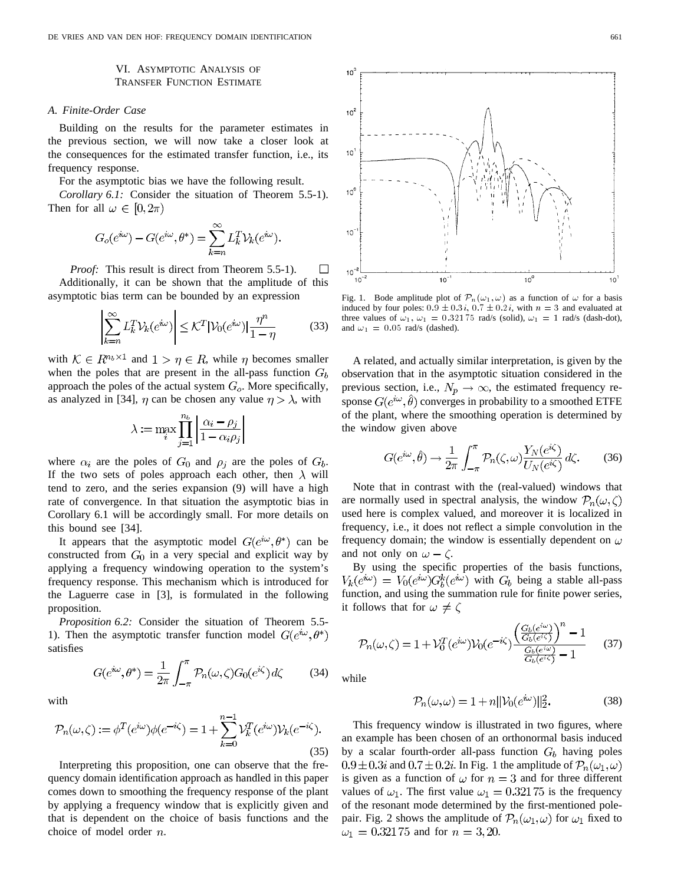#### *A. Finite-Order Case*

Building on the results for the parameter estimates in the previous section, we will now take a closer look at the consequences for the estimated transfer function, i.e., its frequency response.

For the asymptotic bias we have the following result.

*Corollary 6.1:* Consider the situation of Theorem 5.5-1). Then for all  $\omega \in [0, 2\pi)$ 

$$
G_o(e^{i\omega}) - G(e^{i\omega}, \theta^*) = \sum_{k=n}^{\infty} L_k^T \mathcal{V}_k(e^{i\omega}).
$$

*Proof:* This result is direct from Theorem 5.5-1).  $\Box$ Additionally, it can be shown that the amplitude of this asymptotic bias term can be bounded by an expression

$$
\left| \sum_{k=n}^{\infty} L_k^T \mathcal{V}_k(e^{i\omega}) \right| \leq \mathcal{K}^T |\mathcal{V}_0(e^{i\omega})| \frac{\eta^n}{1-\eta}
$$
 (33)

with  $K \in R^{n_b \times 1}$  and  $1 > \eta \in R$ , while  $\eta$  becomes smaller when the poles that are present in the all-pass function  $G_b$ approach the poles of the actual system  $G_0$ . More specifically, as analyzed in [34],  $\eta$  can be chosen any value  $\eta > \lambda$ , with

$$
\lambda := \max_{i} \prod_{j=1}^{n_b} \left| \frac{\alpha_i - \rho_j}{1 - \alpha_i \rho_j} \right|
$$

where  $\alpha_i$  are the poles of  $G_0$  and  $\rho_i$  are the poles of  $G_b$ . If the two sets of poles approach each other, then  $\lambda$  will tend to zero, and the series expansion (9) will have a high rate of convergence. In that situation the asymptotic bias in Corollary 6.1 will be accordingly small. For more details on this bound see [34].

It appears that the asymptotic model  $G(e^{i\omega}, \theta^*)$  can be constructed from  $G_0$  in a very special and explicit way by applying a frequency windowing operation to the system's frequency response. This mechanism which is introduced for the Laguerre case in [3], is formulated in the following proposition.

*Proposition 6.2:* Consider the situation of Theorem 5.5- 1). Then the asymptotic transfer function model  $G(e^{i\omega}, \theta^*)$ satisfies

$$
G(e^{i\omega}, \theta^*) = \frac{1}{2\pi} \int_{-\pi}^{\pi} \mathcal{P}_n(\omega, \zeta) G_0(e^{i\zeta}) d\zeta
$$
 (34)

with

$$
\mathcal{P}_n(\omega,\zeta) := \phi^T(e^{i\omega})\phi(e^{-i\zeta}) = 1 + \sum_{k=0}^{n-1} \mathcal{V}_k^T(e^{i\omega})\mathcal{V}_k(e^{-i\zeta}).
$$
\n(35)

Interpreting this proposition, one can observe that the frequency domain identification approach as handled in this paper comes down to smoothing the frequency response of the plant by applying a frequency window that is explicitly given and that is dependent on the choice of basis functions and the choice of model order  $n$ .



Fig. 1. Bode amplitude plot of  $\mathcal{P}_n(\omega_1, \omega)$  as a function of  $\omega$  for a basis induced by four poles:  $0.\overline{9} \pm 0.3i$ ,  $0.7 \pm 0.2i$ , with  $n = 3$  and evaluated at three values of  $\omega_1$ ,  $\omega_1 = 0.32175$  rad/s (solid),  $\omega_1 = 1$  rad/s (dash-dot), and  $\omega_1 = 0.05$  rad/s (dashed).

A related, and actually similar interpretation, is given by the observation that in the asymptotic situation considered in the previous section, i.e.,  $N_p \rightarrow \infty$ , the estimated frequency response  $G(e^{i\omega}, \hat{\theta})$  converges in probability to a smoothed ETFE of the plant, where the smoothing operation is determined by the window given above

$$
G(e^{i\omega}, \hat{\theta}) \to \frac{1}{2\pi} \int_{-\pi}^{\pi} \mathcal{P}_n(\zeta, \omega) \frac{Y_N(e^{i\zeta})}{U_N(e^{i\zeta})} d\zeta.
$$
 (36)

Note that in contrast with the (real-valued) windows that are normally used in spectral analysis, the window  $\mathcal{P}_n(\omega,\zeta)$ used here is complex valued, and moreover it is localized in frequency, i.e., it does not reflect a simple convolution in the frequency domain; the window is essentially dependent on  $\omega$ and not only on  $\omega - \zeta$ .

By using the specific properties of the basis functions,  $V_k(e^{i\omega}) = V_0(e^{i\omega})G_h^k(e^{i\omega})$  with  $G_b$  being a stable all-pass function, and using the summation rule for finite power series, it follows that for  $\omega \neq \zeta$ 

$$
\mathcal{P}_n(\omega,\zeta) = 1 + \mathcal{V}_0^T(e^{i\omega})\mathcal{V}_0(e^{-i\zeta}) \frac{\left(\frac{G_b(e^{i\omega})}{G_b(e^{i\zeta})}\right)^n - 1}{\frac{G_b(e^{i\omega})}{G_b(e^{i\zeta})} - 1} \tag{37}
$$

while

$$
\mathcal{P}_n(\omega,\omega) = 1 + n||\mathcal{V}_0(e^{i\omega})||_2^2.
$$
\n(38)

This frequency window is illustrated in two figures, where an example has been chosen of an orthonormal basis induced by a scalar fourth-order all-pass function  $G_b$  having poles  $0.9 \pm 0.3i$  and  $0.7 \pm 0.2i$ . In Fig. 1 the amplitude of  $\mathcal{P}_n(\omega_1, \omega)$ is given as a function of  $\omega$  for  $n=3$  and for three different values of  $\omega_1$ . The first value  $\omega_1 = 0.32175$  is the frequency of the resonant mode determined by the first-mentioned polepair. Fig. 2 shows the amplitude of  $\mathcal{P}_n(\omega_1, \omega)$  for  $\omega_1$  fixed to  $\omega_1 = 0.32175$  and for  $n = 3,20$ .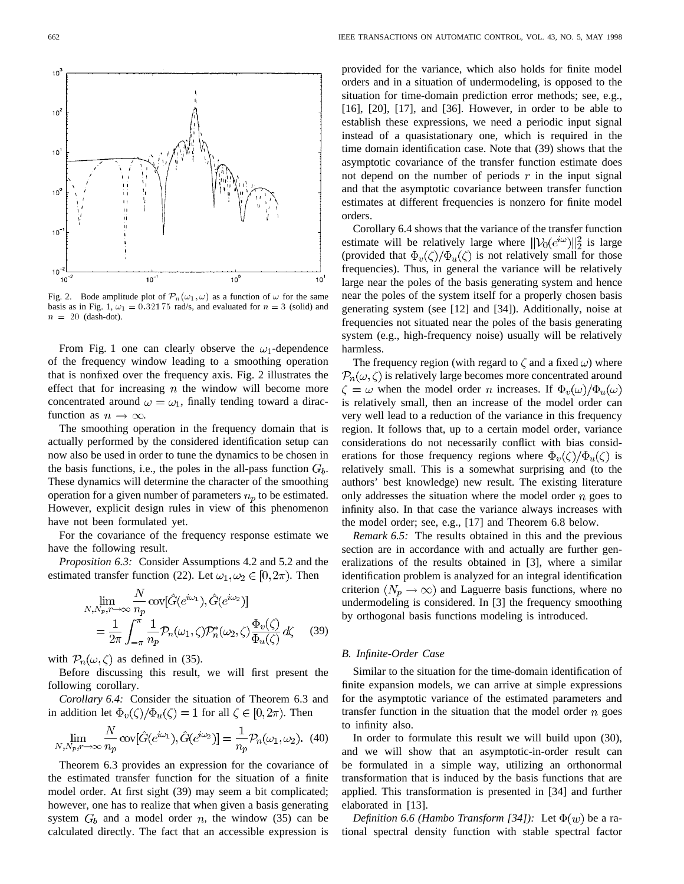basis as in Fig. 1,  $\omega_1 = 0.32175$  rad/s, and evaluated for  $n = 3$  (solid) and  $n = 20$  (dash-dot).

From Fig. 1 one can clearly observe the  $\omega_1$ -dependence of the frequency window leading to a smoothing operation that is nonfixed over the frequency axis. Fig. 2 illustrates the effect that for increasing  $n$  the window will become more concentrated around  $\omega = \omega_1$ , finally tending toward a diracfunction as  $n \to \infty$ .

The smoothing operation in the frequency domain that is actually performed by the considered identification setup can now also be used in order to tune the dynamics to be chosen in the basis functions, i.e., the poles in the all-pass function  $G_b$ . These dynamics will determine the character of the smoothing operation for a given number of parameters  $n_p$  to be estimated. However, explicit design rules in view of this phenomenon have not been formulated yet.

For the covariance of the frequency response estimate we have the following result.

*Proposition 6.3:* Consider Assumptions 4.2 and 5.2 and the estimated transfer function (22). Let  $\omega_1, \omega_2 \in [0, 2\pi)$ . Then

$$
\lim_{N, N_p, r \to \infty} \frac{N}{n_p} \text{cov}[\hat{G}(e^{i\omega_1}), \hat{G}(e^{i\omega_2})] \n= \frac{1}{2\pi} \int_{-\pi}^{\pi} \frac{1}{n_p} \mathcal{P}_n(\omega_1, \zeta) \mathcal{P}_n^*(\omega_2, \zeta) \frac{\Phi_v(\zeta)}{\Phi_u(\zeta)} d\zeta
$$
\n(39)

with  $\mathcal{P}_n(\omega,\zeta)$  as defined in (35).

Before discussing this result, we will first present the following corollary.

*Corollary 6.4:* Consider the situation of Theorem 6.3 and in addition let  $\Phi_{\nu}(\zeta)/\Phi_{\nu}(\zeta) = 1$  for all  $\zeta \in [0, 2\pi)$ . Then

$$
\lim_{N, N_p, r \to \infty} \frac{N}{n_p} \operatorname{cov}[\hat{G}(e^{i\omega_1}), \hat{G}(e^{i\omega_2})] = \frac{1}{n_p} \mathcal{P}_n(\omega_1, \omega_2). \tag{40}
$$

Theorem 6.3 provides an expression for the covariance of the estimated transfer function for the situation of a finite model order. At first sight (39) may seem a bit complicated; however, one has to realize that when given a basis generating system  $G_b$  and a model order n, the window (35) can be calculated directly. The fact that an accessible expression is provided for the variance, which also holds for finite model orders and in a situation of undermodeling, is opposed to the situation for time-domain prediction error methods; see, e.g., [16], [20], [17], and [36]. However, in order to be able to establish these expressions, we need a periodic input signal instead of a quasistationary one, which is required in the time domain identification case. Note that (39) shows that the asymptotic covariance of the transfer function estimate does not depend on the number of periods  $r$  in the input signal and that the asymptotic covariance between transfer function estimates at different frequencies is nonzero for finite model orders.

Corollary 6.4 shows that the variance of the transfer function estimate will be relatively large where  $\|\mathcal{V}_0(e^{i\omega})\|_2^2$  is large (provided that  $\Phi_{\nu}(\zeta)/\Phi_{\nu}(\zeta)$  is not relatively small for those frequencies). Thus, in general the variance will be relatively large near the poles of the basis generating system and hence near the poles of the system itself for a properly chosen basis generating system (see [12] and [34]). Additionally, noise at frequencies not situated near the poles of the basis generating system (e.g., high-frequency noise) usually will be relatively harmless.

The frequency region (with regard to  $\zeta$  and a fixed  $\omega$ ) where  $\mathcal{P}_n(\omega,\zeta)$  is relatively large becomes more concentrated around  $\zeta = \omega$  when the model order *n* increases. If  $\Phi_v(\omega)/\Phi_u(\omega)$ is relatively small, then an increase of the model order can very well lead to a reduction of the variance in this frequency region. It follows that, up to a certain model order, variance considerations do not necessarily conflict with bias considerations for those frequency regions where  $\Phi_{\nu}(\zeta)/\Phi_{\nu}(\zeta)$  is relatively small. This is a somewhat surprising and (to the authors' best knowledge) new result. The existing literature only addresses the situation where the model order  $n$  goes to infinity also. In that case the variance always increases with the model order; see, e.g., [17] and Theorem 6.8 below.

*Remark 6.5:* The results obtained in this and the previous section are in accordance with and actually are further generalizations of the results obtained in [3], where a similar identification problem is analyzed for an integral identification criterion  $(N_p \rightarrow \infty)$  and Laguerre basis functions, where no undermodeling is considered. In [3] the frequency smoothing by orthogonal basis functions modeling is introduced.

#### *B. Infinite-Order Case*

Similar to the situation for the time-domain identification of finite expansion models, we can arrive at simple expressions for the asymptotic variance of the estimated parameters and transfer function in the situation that the model order  $n$  goes to infinity also.

In order to formulate this result we will build upon (30), and we will show that an asymptotic-in-order result can be formulated in a simple way, utilizing an orthonormal transformation that is induced by the basis functions that are applied. This transformation is presented in [34] and further elaborated in [13].

*Definition 6.6 (Hambo Transform [34]):* Let  $\Phi(w)$  be a rational spectral density function with stable spectral factor



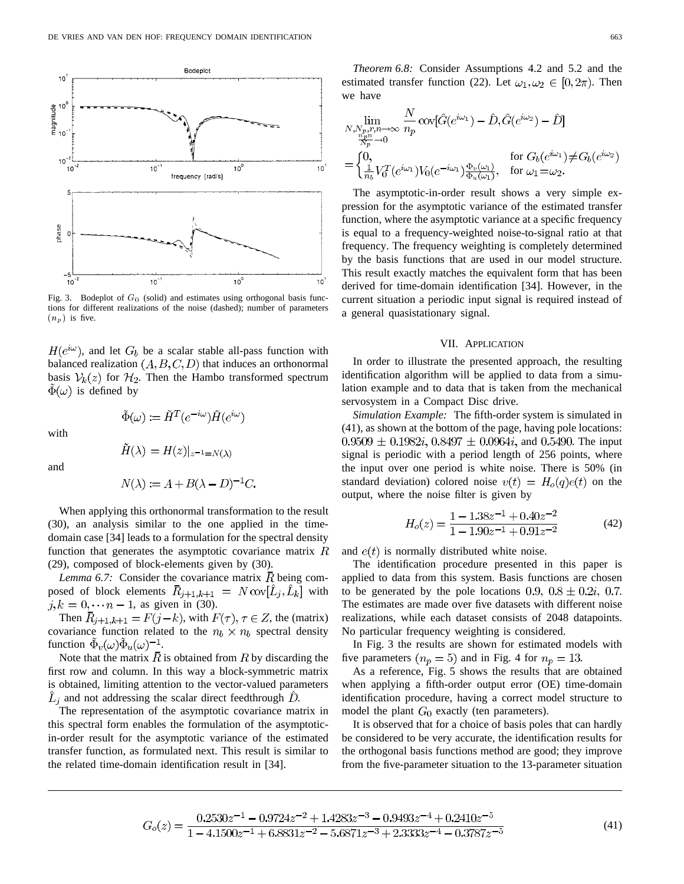

Fig. 3. Bodeplot of  $G_0$  (solid) and estimates using orthogonal basis functions for different realizations of the noise (dashed); number of parameters  $(n_p)$  is five.

 $H(e^{i\omega})$ , and let  $G_b$  be a scalar stable all-pass function with balanced realization  $(A, B, C, D)$  that induces an orthonormal basis  $V_k(z)$  for  $H_2$ . Then the Hambo transformed spectrum  $\dot{\Phi}(\omega)$  is defined by

 $\tilde{\Phi}(\omega) := \tilde{H}^T(e^{-i\omega})\tilde{H}(e^{i\omega})$ 

with

and

$$
\tilde{H}(\lambda) = H(z)|_{z^{-1} = N(\lambda)}
$$

$$
N(\lambda) := A + B(\lambda - D)^{-1}C.
$$

When applying this orthonormal transformation to the result (30), an analysis similar to the one applied in the timedomain case [34] leads to a formulation for the spectral density function that generates the asymptotic covariance matrix  $R$ (29), composed of block-elements given by (30).

*Lemma 6.7:* Consider the covariance matrix  $\bar{R}$  being composed of block elements  $\bar{R}_{j+1,k+1} = N \text{cov}[\bar{L}_j, \bar{L}_k]$  with  $j, k = 0, \dots n - 1$ , as given in (30).

Then  $\bar{R}_{j+1,k+1} = F(j-k)$ , with  $F(\tau)$ ,  $\tau \in Z$ , the (matrix) covariance function related to the  $n_b \times n_b$  spectral density function  $\tilde{\Phi}_v(\omega)\tilde{\Phi}_u(\omega)^{-1}$ .

Note that the matrix  $\bar{R}$  is obtained from R by discarding the first row and column. In this way a block-symmetric matrix is obtained, limiting attention to the vector-valued parameters  $\hat{L}_i$  and not addressing the scalar direct feedthrough  $\hat{D}$ .

The representation of the asymptotic covariance matrix in this spectral form enables the formulation of the asymptoticin-order result for the asymptotic variance of the estimated transfer function, as formulated next. This result is similar to the related time-domain identification result in [34].

*Theorem 6.8:* Consider Assumptions 4.2 and 5.2 and the estimated transfer function (22). Let  $\omega_1, \omega_2 \in [0, 2\pi)$ . Then we have

$$
\lim_{\substack{N,N_p,r,n\to\infty \\ \frac{n_p n}{N_p}\to 0}} \frac{N}{n_p} \operatorname{cov}[\hat{G}(e^{i\omega_1}) - \hat{D}, \hat{G}(e^{i\omega_2}) - \hat{D}]
$$
\n
$$
= \begin{cases} 0, & \text{for } G_b(e^{i\omega_1}) \neq G_b(e^{i\omega_2}) \\ \frac{1}{n_b} V_0^T(e^{i\omega_1}) V_0(e^{-i\omega_1}) \frac{\Phi_v(\omega_1)}{\Phi_u(\omega_1)}, & \text{for } \omega_1 = \omega_2. \end{cases}
$$

The asymptotic-in-order result shows a very simple expression for the asymptotic variance of the estimated transfer function, where the asymptotic variance at a specific frequency is equal to a frequency-weighted noise-to-signal ratio at that frequency. The frequency weighting is completely determined by the basis functions that are used in our model structure. This result exactly matches the equivalent form that has been derived for time-domain identification [34]. However, in the current situation a periodic input signal is required instead of a general quasistationary signal.

### VII. APPLICATION

In order to illustrate the presented approach, the resulting identification algorithm will be applied to data from a simulation example and to data that is taken from the mechanical servosystem in a Compact Disc drive.

*Simulation Example:* The fifth-order system is simulated in (41), as shown at the bottom of the page, having pole locations:  $0.9509 \pm 0.1982i$ ,  $0.8497 \pm 0.0964i$ , and 0.5490. The input signal is periodic with a period length of 256 points, where the input over one period is white noise. There is 50% (in standard deviation) colored noise  $v(t) = H_o(q)e(t)$  on the output, where the noise filter is given by

$$
H_o(z) = \frac{1 - 1.38z^{-1} + 0.40z^{-2}}{1 - 1.90z^{-1} + 0.91z^{-2}}
$$
(42)

and  $e(t)$  is normally distributed white noise.

The identification procedure presented in this paper is applied to data from this system. Basis functions are chosen to be generated by the pole locations  $0.9, 0.8 \pm 0.2i, 0.7$ . The estimates are made over five datasets with different noise realizations, while each dataset consists of 2048 datapoints. No particular frequency weighting is considered.

In Fig. 3 the results are shown for estimated models with five parameters  $(n_p = 5)$  and in Fig. 4 for  $n_p = 13$ .

As a reference, Fig. 5 shows the results that are obtained when applying a fifth-order output error (OE) time-domain identification procedure, having a correct model structure to model the plant  $G_0$  exactly (ten parameters).

It is observed that for a choice of basis poles that can hardly be considered to be very accurate, the identification results for the orthogonal basis functions method are good; they improve from the five-parameter situation to the 13-parameter situation

$$
G_o(z) = \frac{0.2530z^{-1} - 0.9724z^{-2} + 1.4283z^{-3} - 0.9493z^{-4} + 0.2410z^{-5}}{1 - 4.1500z^{-1} + 6.8831z^{-2} - 5.6871z^{-3} + 2.3333z^{-4} - 0.3787z^{-5}}
$$
\n
$$
\tag{41}
$$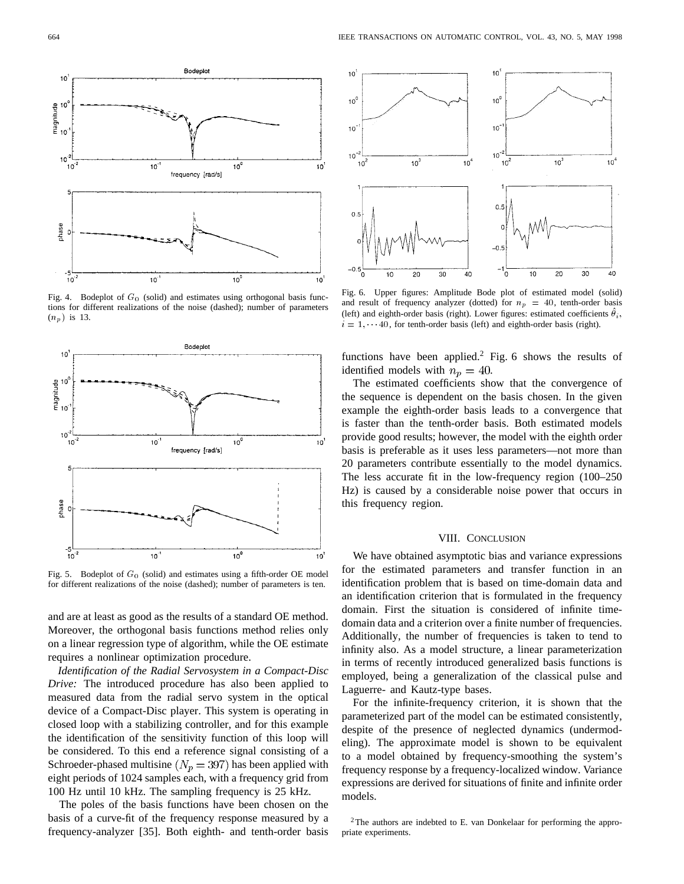

Fig. 4. Bodeplot of  $G_0$  (solid) and estimates using orthogonal basis functions for different realizations of the noise (dashed); number of parameters  $(n_p)$  is 13.



Fig. 5. Bodeplot of  $G_0$  (solid) and estimates using a fifth-order OE model for different realizations of the noise (dashed); number of parameters is ten.

and are at least as good as the results of a standard OE method. Moreover, the orthogonal basis functions method relies only on a linear regression type of algorithm, while the OE estimate requires a nonlinear optimization procedure.

*Identification of the Radial Servosystem in a Compact-Disc Drive:* The introduced procedure has also been applied to measured data from the radial servo system in the optical device of a Compact-Disc player. This system is operating in closed loop with a stabilizing controller, and for this example the identification of the sensitivity function of this loop will be considered. To this end a reference signal consisting of a Schroeder-phased multisine  $(N_p = 397)$  has been applied with eight periods of 1024 samples each, with a frequency grid from 100 Hz until 10 kHz. The sampling frequency is 25 kHz.

The poles of the basis functions have been chosen on the basis of a curve-fit of the frequency response measured by a frequency-analyzer [35]. Both eighth- and tenth-order basis



Fig. 6. Upper figures: Amplitude Bode plot of estimated model (solid) and result of frequency analyzer (dotted) for  $n_p = 40$ , tenth-order basis and result of frequency analyzer (dotted) for  $n_p = 40$ , tenth-order basis (left) and eighth-order basis (right). Lower figures: estimated coefficients  $\hat{\theta}_i$ ,  $i = 1, \dots, 40$ , for tenth-order basis (left) and eighth-order

functions have been applied.<sup>2</sup> Fig. 6 shows the results of identified models with  $n_p = 40$ .

The estimated coefficients show that the convergence of the sequence is dependent on the basis chosen. In the given example the eighth-order basis leads to a convergence that is faster than the tenth-order basis. Both estimated models provide good results; however, the model with the eighth order basis is preferable as it uses less parameters—not more than 20 parameters contribute essentially to the model dynamics. The less accurate fit in the low-frequency region (100–250 Hz) is caused by a considerable noise power that occurs in this frequency region.

#### VIII. CONCLUSION

We have obtained asymptotic bias and variance expressions for the estimated parameters and transfer function in an identification problem that is based on time-domain data and an identification criterion that is formulated in the frequency domain. First the situation is considered of infinite timedomain data and a criterion over a finite number of frequencies. Additionally, the number of frequencies is taken to tend to infinity also. As a model structure, a linear parameterization in terms of recently introduced generalized basis functions is employed, being a generalization of the classical pulse and Laguerre- and Kautz-type bases.

For the infinite-frequency criterion, it is shown that the parameterized part of the model can be estimated consistently, despite of the presence of neglected dynamics (undermodeling). The approximate model is shown to be equivalent to a model obtained by frequency-smoothing the system's frequency response by a frequency-localized window. Variance expressions are derived for situations of finite and infinite order models.

 $2$ The authors are indebted to E. van Donkelaar for performing the appropriate experiments.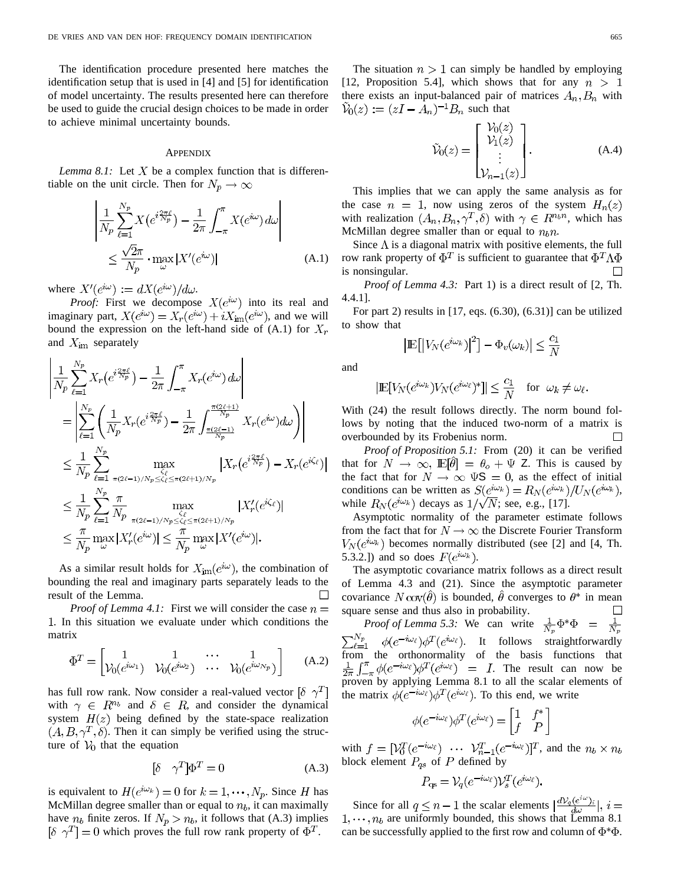The identification procedure presented here matches the identification setup that is used in [4] and [5] for identification of model uncertainty. The results presented here can therefore be used to guide the crucial design choices to be made in order to achieve minimal uncertainty bounds.

#### **APPENDIX**

*Lemma 8.1:* Let  $X$  be a complex function that is differentiable on the unit circle. Then for  $N_p \to \infty$ 

$$
\frac{1}{N_p} \sum_{\ell=1}^{N_p} X(e^{i\frac{2\pi\ell}{N_p}}) - \frac{1}{2\pi} \int_{-\pi}^{\pi} X(e^{i\omega}) d\omega \Bigg|
$$
\n
$$
\leq \frac{\sqrt{2\pi}}{N_p} \cdot \max_{\omega} |X'(e^{i\omega})| \tag{A.1}
$$

where  $X'(e^{i\omega}) := dX(e^{i\omega})/d\omega$ .

*Proof:* First we decompose  $X(e^{i\omega})$  into its real and imaginary part,  $X(e^{i\omega}) = X_r(e^{i\omega}) + iX_{im}(e^{i\omega})$ , and we will bound the expression on the left-hand side of  $(A.1)$  for  $X_r$ and  $X_{\text{im}}$  separately

$$
\begin{split}\n&\left|\frac{1}{N_{p}}\sum_{\ell=1}^{N_{p}}X_{r}(e^{i\frac{2\pi\ell}{N_{p}}})-\frac{1}{2\pi}\int_{-\pi}^{\pi}X_{r}(e^{i\omega})\,d\omega\right| \\
&=\left|\sum_{\ell=1}^{N_{p}}\left(\frac{1}{N_{p}}X_{r}(e^{i\frac{2\pi\ell}{N_{p}}})-\frac{1}{2\pi}\int_{\frac{\pi(2\ell+1)}{N_{p}}}^{\frac{\pi(2\ell+1)}{N_{p}}}X_{r}(e^{i\omega})d\omega\right)\right| \\
&\leq\frac{1}{N_{p}}\sum_{\ell=1}^{N_{p}}\max_{\substack{\zeta_{\ell}\\\xi_{\ell}\leq\pi}}\max_{\substack{\zeta_{\ell}\\\zeta_{\ell}\leq\pi(2\ell+1)/N_{p}}}|X_{r}(e^{i\frac{2\pi\ell}{N_{p}}})-X_{r}(e^{i\zeta_{\ell}})| \\
&\leq\frac{1}{N_{p}}\sum_{\ell=1}^{N_{p}}\frac{\pi}{N_{p}}\max_{\substack{\zeta_{\ell}\\\pi(2\ell-1)/N_{p}\leq\zeta_{\ell}\leq\pi(2\ell+1)/N_{p}}}|X'_{r}(e^{i\zeta_{\ell}})| \\
&\leq\frac{\pi}{N_{p}}\max_{\omega}|X'_{r}(e^{i\omega})|\leq\frac{\pi}{N_{p}}\max_{\omega}|X'(e^{i\omega})|.\n\end{split}
$$

As a similar result holds for  $X_{\text{im}}(e^{i\omega})$ , the combination of bounding the real and imaginary parts separately leads to the result of the Lemma. П

*Proof of Lemma 4.1:* First we will consider the case  $n =$ . In this situation we evaluate under which conditions the matrix

$$
\Phi^T = \begin{bmatrix} 1 & \cdots & 1 \\ \mathcal{V}_0(e^{i\omega_1}) & \mathcal{V}_0(e^{i\omega_2}) & \cdots & \mathcal{V}_0(e^{i\omega_{N_p}}) \end{bmatrix}
$$
 (A.2)

has full row rank. Now consider a real-valued vector  $\left[\delta \gamma^T\right]$ with  $\gamma \in R^{n_b}$  and  $\delta \in R$ , and consider the dynamical system  $H(z)$  being defined by the state-space realization  $(A, B, \gamma^T, \delta)$ . Then it can simply be verified using the structure of  $V_0$  that the equation

$$
[\delta \quad \gamma^T] \Phi^T = 0 \tag{A.3}
$$

is equivalent to  $H(e^{i\omega_k}) = 0$  for  $k = 1, \dots, N_p$ . Since H has McMillan degree smaller than or equal to  $n_b$ , it can maximally have  $n_b$  finite zeros. If  $N_p > n_b$ , it follows that (A.3) implies  $[\delta \gamma^T] = 0$  which proves the full row rank property of  $\Phi^T$ .

The situation  $n > 1$  can simply be handled by employing [12, Proposition 5.4], which shows that for any  $n > 1$ there exists an input-balanced pair of matrices  $A_n, B_n$  with  $\tilde{\mathcal{V}}_0(z) := (zI - A_n)^{-1}B_n$  such that

$$
\tilde{\mathcal{V}}_0(z) = \begin{bmatrix} \mathcal{V}_0(z) \\ \mathcal{V}_1(z) \\ \vdots \\ \mathcal{V}_{n-1}(z) \end{bmatrix} .
$$
\n(A.4)

This implies that we can apply the same analysis as for the case  $n = 1$ , now using zeros of the system  $H_n(z)$ with realization  $(A_n, B_n, \gamma^T, \delta)$  with  $\gamma \in R^{n_b n}$ , which has McMillan degree smaller than or equal to  $n_b n$ .

Since  $\Lambda$  is a diagonal matrix with positive elements, the full row rank property of  $\Phi^T$  is sufficient to guarantee that  $\Phi^T \Lambda \Phi$ is nonsingular.  $\Box$ 

*Proof of Lemma 4.3:* Part 1) is a direct result of [2, Th. 4.4.1].

For part 2) results in [17, eqs. (6.30), (6.31)] can be utilized to show that

$$
\mathbb{E}\big[\big|V_N(e^{i\omega_k})\big|^2\big]-\Phi_v(\omega_k)\big|\leq \frac{c_1}{N}
$$

and

$$
|\mathbb{E}[V_N(e^{i\omega_k})V_N(e^{i\omega_\ell})^*]| \leq \frac{c_1}{N} \quad \text{for} \ \omega_k \neq \omega_\ell.
$$

With (24) the result follows directly. The norm bound follows by noting that the induced two-norm of a matrix is overbounded by its Frobenius norm.  $\Box$ 

*Proof of Proposition 5.1:* From (20) it can be verified that for  $N \to \infty$ ,  $\mathbb{E}[\hat{\theta}] = \theta_o + \Psi$  Z. This is caused by the fact that for  $N \to \infty \Psi S = 0$ , as the effect of initial conditions can be written as  $S(e^{i\omega_k}) = R_N(e^{i\omega_k})/U_N(e^{i\omega_k})$ , while  $R_N(e^{i\omega_k})$  decays as  $1/\sqrt{N}$ ; see, e.g., [17].

Asymptotic normality of the parameter estimate follows from the fact that for  $N \to \infty$  the Discrete Fourier Transform  $V_N(e^{i\omega_k})$  becomes normally distributed (see [2] and [4, Th. 5.3.2.]) and so does  $F(e^{i\omega_k})$ .

The asymptotic covariance matrix follows as a direct result of Lemma 4.3 and (21). Since the asymptotic parameter covariance  $N \text{cov}(\hat{\theta})$  is bounded,  $\hat{\theta}$  converges to  $\theta^*$  in mean square sense and thus also in probability.  $\Box$ 

*Proof of Lemma 5.3:* We can write  $\frac{1}{N_n} \Phi^* \Phi = \frac{1}{N_n}$  $\phi(e^{-i\omega_{\ell}})\phi^T(e^{i\omega_{\ell}})$ . It follows straightforwardly  $\sum_{\ell=1}^{N_p} \phi(e^{-i\omega_{\ell}})\phi^T(e^{i\omega_{\ell}})$ . It follows straightforwardly from the orthonormality of the basis functions that  $\frac{1}{2\pi} \int_{-\pi}^{\pi} \phi(e^{-i\omega_{\ell}}) \phi^T(e^{i\omega_{\ell}}) = I$ . The result can now be proven by applying Lemma 8.1 to all the scalar elements of the matrix  $\phi(e^{-i\omega_\ell})\phi^T(e^{i\omega_\ell})$ . To this end, we write

$$
\phi(e^{-i\omega_{\ell}})\phi^{T}(e^{i\omega_{\ell}}) = \begin{bmatrix} 1 & f^{*} \\ f & P \end{bmatrix}
$$

with  $f = \left[\mathcal{V}_0^T(e^{-i\omega_\ell}) \cdots \mathcal{V}_{n-1}^T(e^{-i\omega_\ell})\right]^T$ , and the block element  $P_{qs}$  of  $P$  defined by

$$
P_{\rm qs} = \mathcal{V}_q(e^{-i\omega_\ell})\mathcal{V}_s^T(e^{i\omega_\ell}).
$$

Since for all  $q \leq n-1$  the scalar elements are uniformly bounded, this shows that Lemma 8.1 can be successfully applied to the first row and column of  $\Phi^*\Phi$ .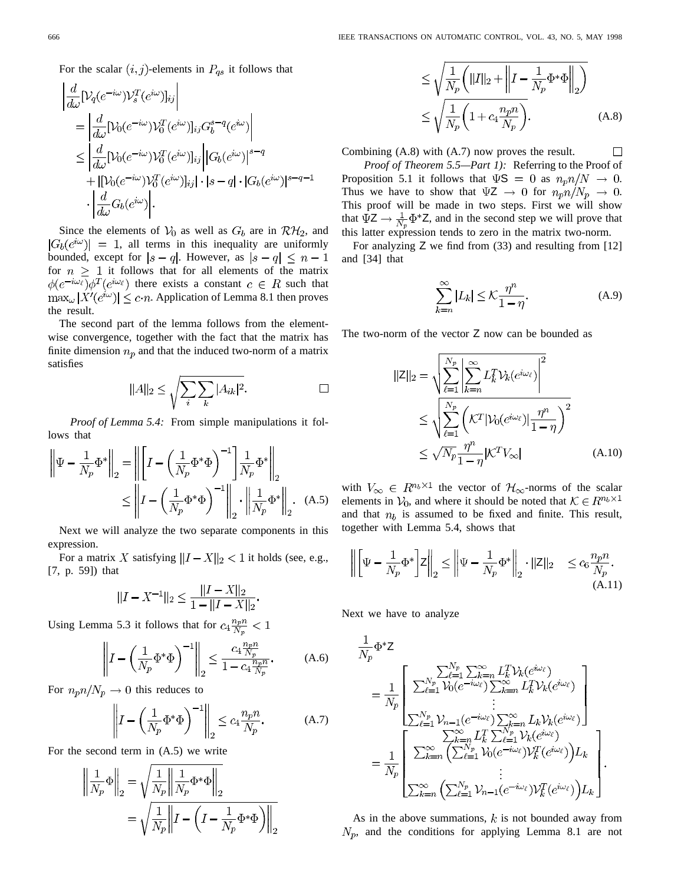For the scalar  $(i, j)$ -elements in  $P_{qs}$  it follows that

$$
\frac{d}{d\omega}[\mathcal{V}_q(e^{-i\omega})\mathcal{V}_s^T(e^{i\omega})]_{ij}\n\n=\n
$$
\left|\frac{d}{d\omega}[\mathcal{V}_0(e^{-i\omega})\mathcal{V}_0^T(e^{i\omega})]_{ij}G_b^{s-q}(e^{i\omega})\n\right|\n\n\leq\n
$$
\left|\frac{d}{d\omega}[\mathcal{V}_0(e^{-i\omega})\mathcal{V}_0^T(e^{i\omega})]_{ij}\right|\left|G_b(e^{i\omega})\right|^{s-q}\n\n+\left|[\mathcal{V}_0(e^{-i\omega})\mathcal{V}_0^T(e^{i\omega})]_{ij}\right|\cdot|s-q|\cdot|G_b(e^{i\omega})|^{s-q-1}\n\n\cdot\n
$$
\left|\frac{d}{d\omega}G_b(e^{i\omega})\right|.
$$
$$
$$
$$

Since the elements of  $V_0$  as well as  $G_b$  are in  $\mathcal{RH}_2$ , and  $|G_b(e^{i\omega})| = 1$ , all terms in this inequality are uniformly bounded, except for  $|s - q|$ . However, as  $|s - q| \leq n - 1$ for  $n \geq 1$  it follows that for all elements of the matrix  $\phi(e^{-i\omega_{\ell}})\phi^{T}(e^{i\omega_{\ell}})$  there exists a constant  $c \in R$  such that  $\max_{\omega} |X'(e^{i\omega})| \leq c \cdot n$ . Application of Lemma 8.1 then proves the result.

The second part of the lemma follows from the elementwise convergence, together with the fact that the matrix has finite dimension  $n_p$  and that the induced two-norm of a matrix satisfies

$$
||A||_2 \le \sqrt{\sum_i \sum_k |A_{ik}|^2}.
$$

*Proof of Lemma 5.4:* From simple manipulations it follows that

$$
\left\| \Psi - \frac{1}{N_p} \Phi^* \right\|_2 = \left\| \left[ I - \left( \frac{1}{N_p} \Phi^* \Phi \right)^{-1} \right] \frac{1}{N_p} \Phi^* \right\|_2
$$
  
\n
$$
\leq \left\| I - \left( \frac{1}{N_p} \Phi^* \Phi \right)^{-1} \right\|_2 \cdot \left\| \frac{1}{N_p} \Phi^* \right\|_2. \quad (A.5)
$$

Next we will analyze the two separate components in this expression.

For a matrix X satisfying  $||I - X||_2 < 1$  it holds (see, e.g., [7, p. 59]) that

$$
||I - X^{-1}||_2 \le \frac{||I - X||_2}{1 - ||I - X||_2}.
$$

Using Lemma 5.3 it follows that for  $c_4 \frac{n_p n}{N_n} < 1$ 

$$
\left\| I - \left(\frac{1}{N_p} \Phi^* \Phi\right)^{-1} \right\|_2 \le \frac{c_4 \frac{n_p n}{N_p}}{1 - c_4 \frac{n_p n}{N_p}}.\tag{A.6}
$$

For  $n_p n / N_p \rightarrow 0$  this reduces to

$$
\left\| I - \left( \frac{1}{N_p} \Phi^* \Phi \right)^{-1} \right\|_2 \le c_4 \frac{n_p n}{N_p}.
$$
 (A.7)

For the second term in (A.5) we write

$$
\left\| \frac{1}{N_p} \Phi \right\|_2 = \sqrt{\frac{1}{N_p} \left\| \frac{1}{N_p} \Phi^* \Phi \right\|_2}
$$

$$
= \sqrt{\frac{1}{N_p} \left\| I - \left( I - \frac{1}{N_p} \Phi^* \Phi \right) \right\|_2}
$$

$$
\leq \sqrt{\frac{1}{N_p}} \left( ||I||_2 + \left\| I - \frac{1}{N_p} \Phi^* \Phi \right\|_2 \right)
$$
  

$$
\leq \sqrt{\frac{1}{N_p}} \left( 1 + c_4 \frac{n_p n}{N_p} \right).
$$
 (A.8)

 $\Box$ 

Combining (A.8) with (A.7) now proves the result.

*Proof of Theorem 5.5—Part 1):* Referring to the Proof of Proposition 5.1 it follows that  $\Psi S = 0$  as  $n_p n/N \rightarrow 0$ . Thus we have to show that  $\Psi Z \rightarrow 0$  for  $n_p n / N_p \rightarrow 0$ . This proof will be made in two steps. First we will show that  $\Psi Z \rightarrow \frac{1}{N_n} \Phi^* Z$ , and in the second step we will prove that this latter expression tends to zero in the matrix two-norm.

For analyzing Z we find from (33) and resulting from [12] and [34] that

$$
\sum_{k=n}^{\infty} |L_k| \leq \mathcal{K} \frac{\eta^n}{1-\eta}.
$$
 (A.9)

The two-norm of the vector Z now can be bounded as

$$
|Z||_2 = \sqrt{\sum_{\ell=1}^{N_p} \left| \sum_{k=n}^{\infty} L_k^T \mathcal{V}_k(e^{i\omega_{\ell}}) \right|^2}
$$
  

$$
\leq \sqrt{\sum_{\ell=1}^{N_p} \left( \mathcal{K}^T |\mathcal{V}_0(e^{i\omega_{\ell}})| \frac{\eta^n}{1-\eta} \right)^2}
$$
  

$$
\leq \sqrt{N_p} \frac{\eta^n}{1-\eta} |\mathcal{K}^T \mathcal{V}_{\infty}| \tag{A.10}
$$

with  $V_{\infty} \in R^{n_b \times 1}$  the vector of  $\mathcal{H}_{\infty}$ -norms of the scalar elements in  $V_0$ , and where it should be noted that  $\mathcal{K} \in R^{n_b \times 1}$ and that  $n_b$  is assumed to be fixed and finite. This result, together with Lemma 5.4, shows that

$$
\left\| \left[ \Psi - \frac{1}{N_p} \Phi^* \right] Z \right\|_2 \le \left\| \Psi - \frac{1}{N_p} \Phi^* \right\|_2 \cdot ||Z||_2 \le c_6 \frac{n_p n}{N_p}.
$$
\n(A.11)

Next we have to analyze

$$
\frac{1}{N_p} \Phi^* \mathbf{Z}
$$
\n
$$
= \frac{1}{N_p} \begin{bmatrix}\n\sum_{\ell=1}^{N_p} \sum_{k=n}^{\infty} L_k^T \mathcal{V}_k(e^{i\omega_{\ell}}) \\
\sum_{\ell=1}^{N_p} \mathcal{V}_0(e^{-i\omega_{\ell}}) \sum_{k=n}^{\infty} L_k^T \mathcal{V}_k(e^{i\omega_{\ell}}) \\
\vdots \\
\sum_{\ell=1}^{N_p} \mathcal{V}_{n-1}(e^{-i\omega_{\ell}}) \sum_{k=n}^{\infty} L_k \mathcal{V}_k(e^{i\omega_{\ell}}) \\
\vdots \\
\sum_{k=n}^{\infty} \left( \sum_{\ell=1}^{N_p} \mathcal{V}_0(e^{-i\omega_{\ell}}) \mathcal{V}_k^T(e^{i\omega_{\ell}}) \right) L_k \\
\vdots \\
\sum_{k=n}^{\infty} \left( \sum_{\ell=1}^{N_p} \mathcal{V}_{n-1}(e^{-i\omega_{\ell}}) \mathcal{V}_k^T(e^{i\omega_{\ell}}) \right) L_k\n\end{bmatrix}.
$$

As in the above summations,  $k$  is not bounded away from  $N_p$ , and the conditions for applying Lemma 8.1 are not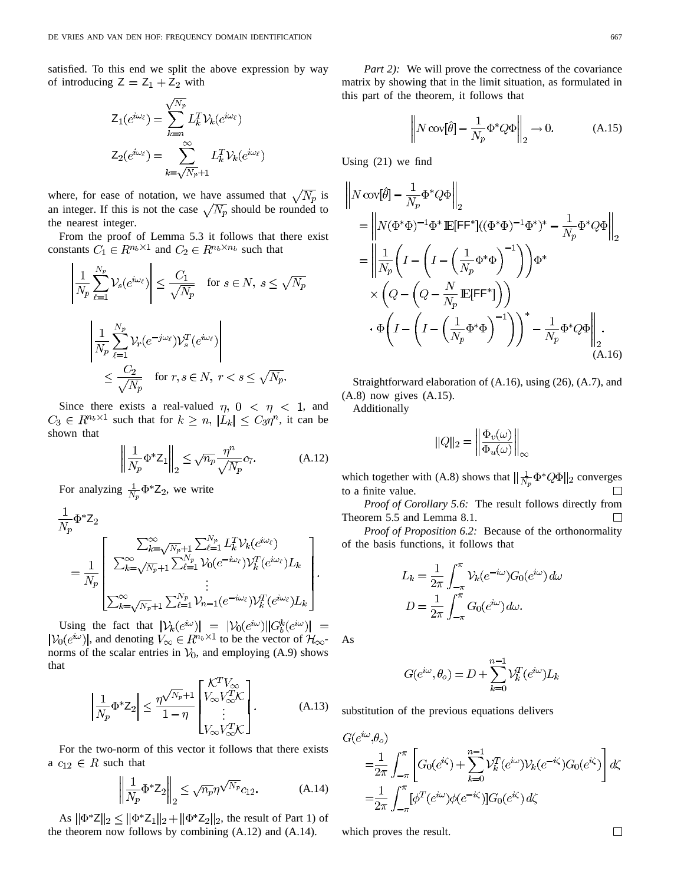satisfied. To this end we split the above expression by way of introducing  $Z = Z_1 + Z_2$  with

$$
Z_1(e^{i\omega_\ell}) = \sum_{k=n}^{\sqrt{N_p}} L_k^T \mathcal{V}_k(e^{i\omega_\ell})
$$

$$
Z_2(e^{i\omega_\ell}) = \sum_{k=\sqrt{N_p}+1}^{\infty} L_k^T \mathcal{V}_k(e^{i\omega_\ell})
$$

where, for ease of notation, we have assumed that  $\sqrt{N_p}$  is an integer. If this is not the case  $\sqrt{N_p}$  should be rounded to the nearest integer.

From the proof of Lemma 5.3 it follows that there exist constants  $C_1 \in R^{n_b \times 1}$  and  $C_2 \in R^{n_b \times n_b}$  such that

$$
\frac{1}{N_p} \sum_{\ell=1}^{N_p} \mathcal{V}_s(e^{i\omega_{\ell}}) \le \frac{C_1}{\sqrt{N_p}} \quad \text{for } s \in N, \ s \le \sqrt{N_p}
$$
\n
$$
\left| \frac{1}{N_p} \sum_{\ell=1}^{N_p} \mathcal{V}_r(e^{-j\omega_{\ell}}) \mathcal{V}_s^T(e^{i\omega_{\ell}}) \right|
$$
\n
$$
\le \frac{C_2}{\sqrt{N_p}} \quad \text{for } r, s \in N, \ r < s \le \sqrt{N_p}.
$$

Since there exists a real-valued  $\eta$ ,  $0 < \eta < 1$ , and  $C_3 \in R^{n_b \times 1}$  such that for  $k \geq n, |L_k| \leq C_3 \eta^n$ , it can be shown that

$$
\left\| \frac{1}{N_p} \Phi^* \mathbf{Z}_1 \right\|_2 \le \sqrt{n_p} \frac{\eta^n}{\sqrt{N_p}} c_7. \tag{A.12}
$$

For analyzing  $\frac{1}{N_p} \Phi^* \mathbb{Z}_2$ , we write

$$
\frac{1}{N_p} \Phi^* Z_2
$$
\n
$$
= \frac{1}{N_p} \left[ \frac{\sum_{k=\sqrt{N_p}+1}^{\infty} \sum_{\ell=1}^{N_p} L_k^T \mathcal{V}_k(e^{i\omega_{\ell}})}{\sum_{k=\sqrt{N_p}+1}^{\infty} \sum_{\ell=1}^{N_p} \mathcal{V}_0(e^{-i\omega_{\ell}}) \mathcal{V}_k^T(e^{i\omega_{\ell}})} L_k \right].
$$
\n
$$
\sum_{k=\sqrt{N_p}+1}^{\infty} \sum_{\ell=1}^{N_p} \mathcal{V}_{n-1}(e^{-i\omega_{\ell}}) \mathcal{V}_k^T(e^{i\omega_{\ell}}) L_k
$$

Using the fact that , and denoting  $V_{\infty} \in R^{n_b \times 1}$  to be the vector of  $\mathcal{H}_{\infty}$ norms of the scalar entries in  $V_0$ , and employing (A.9) shows that

$$
\left|\frac{1}{N_p}\Phi^* Z_2\right| \le \frac{\eta^{\sqrt{N_p}+1}}{1-\eta} \begin{bmatrix} \mathcal{K}^T V_{\infty} \\ V_{\infty} V_{\infty}^T \mathcal{K} \\ \vdots \\ V_{\infty} V_{\infty}^T \mathcal{K} \end{bmatrix} . \tag{A.13}
$$

For the two-norm of this vector it follows that there exists a  $c_{12} \in R$  such that

$$
\left\| \frac{1}{N_p} \Phi^* \mathbf{Z}_2 \right\|_2 \le \sqrt{n_p} \eta^{\sqrt{N_p}} c_{12}.
$$
 (A.14)

As  $\|\Phi^*\mathsf{Z}\|_2 \leq \|\Phi^*\mathsf{Z}_1\|_2 + \|\Phi^*\mathsf{Z}_2\|_2$ , the result of Part 1) of the theorem now follows by combining (A.12) and (A.14).

*Part 2):* We will prove the correctness of the covariance matrix by showing that in the limit situation, as formulated in this part of the theorem, it follows that

$$
\left\| N \operatorname{cov}[\hat{\theta}] - \frac{1}{N_p} \Phi^* Q \Phi \right\|_2 \to 0. \tag{A.15}
$$

Using (21) we find

$$
\begin{split} &\left|N\operatorname{cov}[\hat{\theta}]-\frac{1}{N_p}\Phi^*Q\Phi\right|\right|_2\\ &=\left\|N(\Phi^*\Phi)^{-1}\Phi^*\operatorname{E}[{\mathsf{FF}}^*]((\Phi^*\Phi)^{-1}\Phi^*)^*-\frac{1}{N_p}\Phi^*Q\Phi\right|\right|_2\\ &=\left\|\frac{1}{N_p}\left(I-\left(I-\left(\frac{1}{N_p}\Phi^*\Phi\right)^{-1}\right)\right)\Phi^*\\ &\times\left(Q-\left(Q-\frac{N}{N_p}\operatorname{E}[{\mathsf{FF}}^*]\right)\right)\\ &\cdot\Phi\left(I-\left(I-\left(\frac{1}{N_p}\Phi^*\Phi\right)^{-1}\right)\right)^*-\frac{1}{N_p}\Phi^*Q\Phi\right\|_2.\\ &\qquad \qquad \text{(A.16)} \end{split}
$$

Straightforward elaboration of (A.16), using (26), (A.7), and (A.8) now gives (A.15).

Additionally

$$
||Q||_2 = \left\|\frac{\Phi_v(\omega)}{\Phi_u(\omega)}\right\|_{\infty}
$$

which together with (A.8) shows that  $\left\|\frac{1}{N_p}\Phi^*Q\Phi\right\|_2$  converges to a finite value.  $\Box$ 

*Proof of Corollary 5.6:* The result follows directly from Theorem 5.5 and Lemma 8.1.  $\Box$ 

*Proof of Proposition 6.2:* Because of the orthonormality of the basis functions, it follows that

$$
L_k = \frac{1}{2\pi} \int_{-\pi}^{\pi} V_k(e^{-i\omega}) G_0(e^{i\omega}) d\omega
$$

$$
D = \frac{1}{2\pi} \int_{-\pi}^{\pi} G_0(e^{i\omega}) d\omega.
$$

As

$$
G(e^{i\omega}, \theta_o) = D + \sum_{k=0}^{n-1} \mathcal{V}_k^T(e^{i\omega}) L_k
$$

substitution of the previous equations delivers

$$
G(e^{i\omega}, \theta_o)
$$
  
=  $\frac{1}{2\pi} \int_{-\pi}^{\pi} \left[ G_0(e^{i\zeta}) + \sum_{k=0}^{n-1} \mathcal{V}_k^T(e^{i\omega}) \mathcal{V}_k(e^{-i\zeta}) G_0(e^{i\zeta}) \right] d\zeta$   
=  $\frac{1}{2\pi} \int_{-\pi}^{\pi} [\phi^T(e^{i\omega}) \phi(e^{-i\zeta})] G_0(e^{i\zeta}) d\zeta$ 

which proves the result.

 $\Box$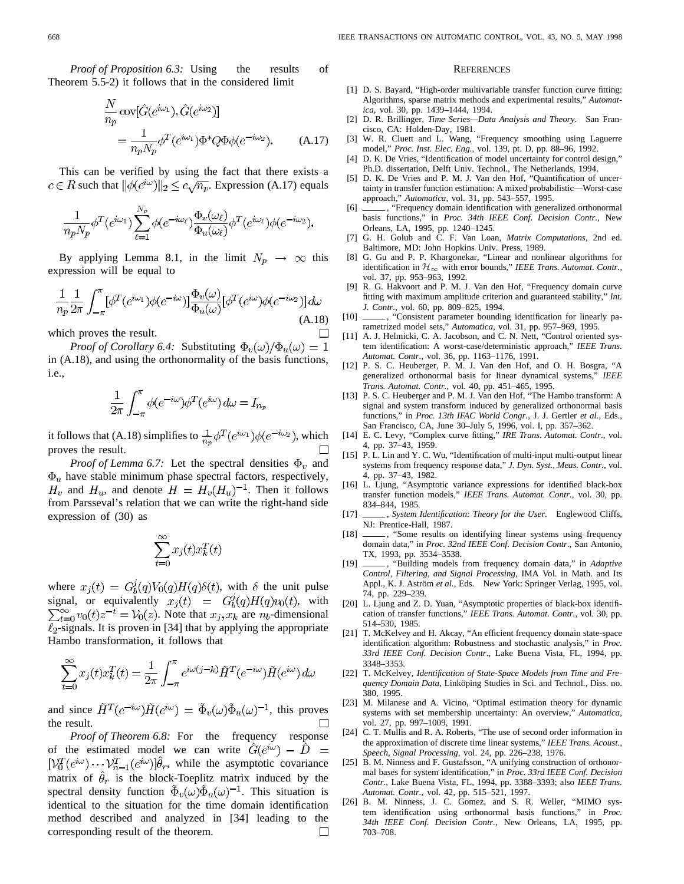*Proof of Proposition 6.3:* Using the results of Theorem 5.5-2) it follows that in the considered limit

$$
\frac{N}{n_p} \text{cov}[\hat{G}(e^{i\omega_1}), \hat{G}(e^{i\omega_2})]
$$
\n
$$
= \frac{1}{n_p N_p} \phi^T(e^{i\omega_1}) \Phi^* Q \Phi \phi(e^{-i\omega_2}). \tag{A.17}
$$

This can be verified by using the fact that there exists a  $c \in R$  such that  $\|\phi(e^{i\omega})\|_2 \leq c\sqrt{n_p}$ . Expression (A.17) equals

$$
\frac{1}{n_p N_p} \phi^T(e^{i\omega_1}) \sum_{\ell=1}^{N_p} \phi(e^{-i\omega_\ell}) \frac{\Phi_v(\omega_\ell)}{\Phi_u(\omega_\ell)} \phi^T(e^{i\omega_\ell}) \phi(e^{-i\omega_2}).
$$

By applying Lemma 8.1, in the limit  $N_p \rightarrow \infty$  this expression will be equal to

$$
\frac{1}{n_p} \frac{1}{2\pi} \int_{-\pi}^{\pi} [\phi^T(e^{i\omega_1}) \phi(e^{-i\omega})] \frac{\Phi_v(\omega)}{\Phi_u(\omega)} [\phi^T(e^{i\omega}) \phi(e^{-i\omega_2})] d\omega
$$
\n(A.18)

П

which proves the result.

*Proof of Corollary 6.4:* Substituting  $\Phi_v(\omega)/\Phi_u(\omega) = 1$ in (A.18), and using the orthonormality of the basis functions, i.e.,

$$
\frac{1}{2\pi} \int_{-\pi}^{\pi} \phi(e^{-i\omega}) \phi^T(e^{i\omega}) d\omega = I_{n_1}
$$

it follows that (A.18) simplifies to  $\frac{1}{n_o} \phi^T(e^{i\omega_1}) \phi(e^{-i\omega_2})$ , which proves the result.

*Proof of Lemma 6.7:* Let the spectral densities  $\Phi_v$  and  $\Phi_u$  have stable minimum phase spectral factors, respectively,  $H_v$  and  $H_u$ , and denote  $H = H_v(H_u)^{-1}$ . Then it follows from Parsseval's relation that we can write the right-hand side expression of (30) as

$$
\sum_{t=0}^{\infty} x_j(t) x_k^T(t)
$$

where  $x_i(t) = G_h^j(q)V_0(q)H(q)\delta(t)$ , with  $\delta$  the unit pulse signal, or equivalently  $x_j(t) = G_b^j(q)H(q)v_0(t)$ , with  $\sum_{t=0}^{\infty} v_0(t) z^{-t} = V_0(z)$ . Note that  $x_j, x_k$  are  $n_b$ -dimensional  $\ell_2$ -signals. It is proven in [34] that by applying the appropriate Hambo transformation, it follows that

$$
\sum_{t=0}^{\infty} x_j(t) x_k^T(t) = \frac{1}{2\pi} \int_{-\pi}^{\pi} e^{i\omega(j-k)} \tilde{H}^T(e^{-i\omega}) \tilde{H}(e^{i\omega}) d\omega
$$

and since  $\tilde{H}^T(e^{-i\omega})\tilde{H}(e^{i\omega}) = \tilde{\Phi}_v(\omega)\tilde{\Phi}_u(\omega)^{-1}$ , this proves the result.

*Proof of Theorem 6.8:* For the frequency response of the estimated model we can write  $\hat{G}(e^{i\omega}) - \hat{D}$  $[\mathcal{V}_0^T(e^{i\omega}) \cdots \mathcal{V}_{n-1}^T(e^{i\omega})]\hat{\theta}_r$ , while the asymptotic covariance matrix of  $\hat{\theta}_r$  is the block-Toeplitz matrix induced by the spectral density function  $\tilde{\Phi}_v(\omega)\tilde{\Phi}_u(\omega)^{-1}$ . This situation is identical to the situation for the time domain identification method described and analyzed in [34] leading to the corresponding result of the theorem.  $\Box$ 

#### **REFERENCES**

- [1] D. S. Bayard, "High-order multivariable transfer function curve fitting: Algorithms, sparse matrix methods and experimental results," *Automatica*, vol. 30, pp. 1439–1444, 1994.
- [2] D. R. Brillinger, *Time Series—Data Analysis and Theory*. San Francisco, CA: Holden-Day, 1981.
- [3] W. R. Cluett and L. Wang, "Frequency smoothing using Laguerre model," *Proc. Inst. Elec. Eng.*, vol. 139, pt. D, pp. 88–96, 1992.
- D. K. De Vries, "Identification of model uncertainty for control design," Ph.D. dissertation, Delft Univ. Technol., The Netherlands, 1994.
- [5] D. K. De Vries and P. M. J. Van den Hof, "Quantification of uncertainty in transfer function estimation: A mixed probabilistic—Worst-case approach," *Automatica*, vol. 31, pp. 543–557, 1995.
- [6] \_\_\_\_\_, "Frequency domain identification with generalized orthonormal basis functions," in *Proc. 34th IEEE Conf. Decision Contr.*, New Orleans, LA, 1995, pp. 1240–1245.
- [7] G. H. Golub and C. F. Van Loan, *Matrix Computations*, 2nd ed. Baltimore, MD: John Hopkins Univ. Press, 1989.
- [8] G. Gu and P. P. Khargonekar, "Linear and nonlinear algorithms for identification in  $\mathcal{H}_{\infty}$  with error bounds," *IEEE Trans. Automat. Contr.*, vol. 37, pp. 953–963, 1992.
- [9] R. G. Hakvoort and P. M. J. Van den Hof, "Frequency domain curve fitting with maximum amplitude criterion and guaranteed stability," *Int. J. Contr.*, vol. 60, pp. 809–825, 1994.
- [10] \_\_\_\_\_, "Consistent parameter bounding identification for linearly parametrized model sets," *Automatica*, vol. 31, pp. 957–969, 1995.
- [11] A. J. Helmicki, C. A. Jacobson, and C. N. Nett, "Control oriented system identification: A worst-case/deterministic approach," *IEEE Trans. Automat. Contr.*, vol. 36, pp. 1163–1176, 1991.
- [12] P. S. C. Heuberger, P. M. J. Van den Hof, and O. H. Bosgra, "A generalized orthonormal basis for linear dynamical systems," *IEEE Trans. Automat. Contr.*, vol. 40, pp. 451–465, 1995.
- [13] P. S. C. Heuberger and P. M. J. Van den Hof, "The Hambo transform: A signal and system transform induced by generalized orthonormal basis functions," in *Proc. 13th IFAC World Congr.*, J. J. Gertler *et al.*, Eds., San Francisco, CA, June 30–July 5, 1996, vol. I, pp. 357–362.
- [14] E. C. Levy, "Complex curve fitting," *IRE Trans. Automat. Contr*., vol. 4, pp. 37–43, 1959.
- [15] P. L. Lin and Y. C. Wu, "Identification of multi-input multi-output linear systems from frequency response data," *J. Dyn. Syst., Meas. Contr.*, vol. 4, pp. 37–43, 1982.
- [16] L. Ljung, "Asymptotic variance expressions for identified black-box transfer function models," *IEEE Trans. Automat. Contr.*, vol. 30, pp. 834–844, 1985.
- [17] \_\_\_\_\_, *System Identification: Theory for the User.* Englewood Cliffs, NJ: Prentice-Hall, 1987.
- [18] \_\_\_\_\_\_, "Some results on identifying linear systems using frequency domain data," in *Proc. 32nd IEEE Conf. Decision Contr*., San Antonio, TX, 1993, pp. 3534–3538.
- [19] \_\_\_\_\_, "Building models from frequency domain data," in *Adaptive Control, Filtering, and Signal Processing*, IMA Vol. in Math. and Its Appl., K. J. Aström et al., Eds. New York: Springer Verlag, 1995, vol. 74, pp. 229–239.
- [20] L. Ljung and Z. D. Yuan, "Asymptotic properties of black-box identification of transfer functions," *IEEE Trans. Automat. Contr.*, vol. 30, pp. 514–530, 1985.
- [21] T. McKelvey and H. Akcay, "An efficient frequency domain state-space identification algorithm: Robustness and stochastic analysis," in *Proc. 33rd IEEE Conf. Decision Contr*., Lake Buena Vista, FL, 1994, pp. 3348–3353.
- [22] T. McKelvey, *Identification of State-Space Models from Time and Frequency Domain Data*, Linköping Studies in Sci. and Technol., Diss. no. 380, 1995.
- [23] M. Milanese and A. Vicino, "Optimal estimation theory for dynamic systems with set membership uncertainty: An overview," *Automatica*, vol. 27, pp. 997–1009, 1991.
- [24] C. T. Mullis and R. A. Roberts, "The use of second order information in the approximation of discrete time linear systems," *IEEE Trans. Acoust., Speech, Signal Processing*, vol. 24, pp. 226–238, 1976.
- [25] B. M. Ninness and F. Gustafsson, "A unifying construction of orthonormal bases for system identification," in *Proc. 33rd IEEE Conf. Decision Contr.*, Lake Buena Vista, FL, 1994, pp. 3388–3393; also *IEEE Trans. Automat. Contr.*, vol. 42, pp. 515–521, 1997.
- [26] B. M. Ninness, J. C. Gomez, and S. R. Weller, "MIMO system identification using orthonormal basis functions," in *Proc. 34th IEEE Conf. Decision Contr.*, New Orleans, LA, 1995, pp. 703–708.